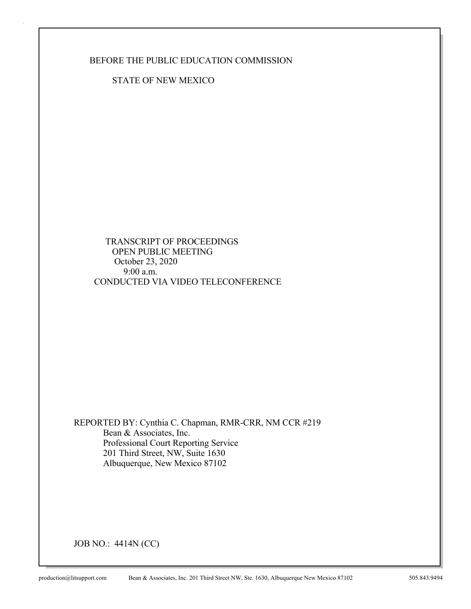BEFORE THE PUBLIC EDUCATION COMMISSION

STATE OF NEW MEXICO

 TRANSCRIPT OF PROCEEDINGS OPEN PUBLIC MEETING October 23, 2020 9:00 a.m. CONDUCTED VIA VIDEO TELECONFERENCE

REPORTED BY: Cynthia C. Chapman, RMR-CRR, NM CCR #219 Bean & Associates, Inc. Professional Court Reporting Service 201 Third Street, NW, Suite 1630 Albuquerque, New Mexico 87102

JOB NO.: 4414N (CC)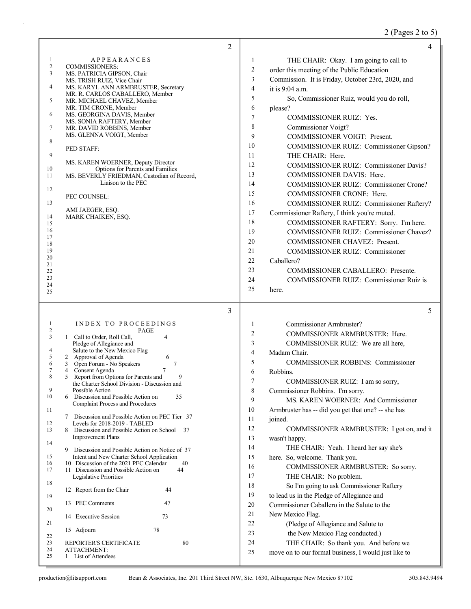# 2 (Pages 2 to 5)

|                     | 2                                                                                  |                | 4                                                                                              |
|---------------------|------------------------------------------------------------------------------------|----------------|------------------------------------------------------------------------------------------------|
| 1                   | <b>APPEARANCES</b>                                                                 | 1              | THE CHAIR: Okay. I am going to call to                                                         |
| $\overline{c}$<br>3 | <b>COMMISSIONERS:</b><br>MS. PATRICIA GIPSON, Chair                                | 2              | order this meeting of the Public Education                                                     |
|                     | MS. TRISH RUIZ, Vice Chair                                                         | 3              | Commission. It is Friday, October 23rd, 2020, and                                              |
| 4                   | MS. KARYL ANN ARMBRUSTER, Secretary<br>MR. R. CARLOS CABALLERO, Member             | $\overline{4}$ | it is $9:04$ a.m.                                                                              |
| 5                   | MR. MICHAEL CHAVEZ, Member                                                         | 5              | So, Commissioner Ruiz, would you do roll,                                                      |
|                     | MR. TIM CRONE, Member                                                              | 6              | please?                                                                                        |
| 6                   | MS. GEORGINA DAVIS, Member<br>MS. SONIA RAFTERY, Member                            | $\tau$         | <b>COMMISSIONER RUIZ: Yes.</b>                                                                 |
| 7                   | MR. DAVID ROBBINS, Member                                                          | 8              | Commissioner Voigt?                                                                            |
| 8                   | MS. GLENNA VOIGT, Member                                                           | 9              | COMMISSIONER VOIGT: Present.                                                                   |
|                     | PED STAFF:                                                                         | 10             | COMMISSIONER RUIZ: Commissioner Gipson?                                                        |
| 9                   | MS. KAREN WOERNER, Deputy Director                                                 | 11             | THE CHAIR: Here.                                                                               |
| 10                  | Options for Parents and Families                                                   | 12             | <b>COMMISSIONER RUIZ: Commissioner Davis?</b>                                                  |
| 11                  | MS. BEVERLY FRIEDMAN, Custodian of Record,                                         | 13             | COMMISSIONER DAVIS: Here.                                                                      |
| 12                  | Liaison to the PEC                                                                 | 14             | COMMISSIONER RUIZ: Commissioner Crone?                                                         |
|                     | PEC COUNSEL:                                                                       | 15             | COMMISSIONER CRONE: Here.                                                                      |
| 13                  | AMI JAEGER, ESQ.                                                                   | 16             | COMMISSIONER RUIZ: Commissioner Raftery?                                                       |
| 14                  | MARK CHAIKEN, ESQ.                                                                 | 17             | Commissioner Raftery, I think you're muted.                                                    |
| 15<br>16            |                                                                                    | 18             | COMMISSIONER RAFTERY: Sorry. I'm here.                                                         |
| 17                  |                                                                                    | 19             | COMMISSIONER RUIZ: Commissioner Chavez?                                                        |
| 18                  |                                                                                    | 20             | COMMISSIONER CHAVEZ: Present.                                                                  |
| 19<br>20            |                                                                                    | 21             | COMMISSIONER RUIZ: Commissioner                                                                |
| 21                  |                                                                                    | 22             | Caballero?                                                                                     |
| 22<br>23            |                                                                                    | 23             | <b>COMMISSIONER CABALLERO: Presente.</b>                                                       |
| 24                  |                                                                                    | 24<br>25       | COMMISSIONER RUIZ: Commissioner Ruiz is                                                        |
| 25                  |                                                                                    |                | here.                                                                                          |
|                     |                                                                                    |                |                                                                                                |
|                     | 3                                                                                  |                | 5                                                                                              |
| 1                   | INDEX TO PROCEEDINGS                                                               | 1              |                                                                                                |
| 2                   | PAGE                                                                               | $\overline{2}$ | Commissioner Armbruster?<br>COMMISSIONER ARMBRUSTER: Here.                                     |
| 3                   | 1 Call to Order, Roll Call,<br>4                                                   | 3              |                                                                                                |
| 4                   | Pledge of Allegiance and<br>Salute to the New Mexico Flag                          | $\overline{4}$ | COMMISSIONER RUIZ: We are all here,<br>Madam Chair.                                            |
| 5<br>6              | 2 Approval of Agenda<br>6                                                          | 5              | <b>COMMISSIONER ROBBINS: Commissioner</b>                                                      |
| 7                   | Open Forum - No Speakers<br>$\tau$<br>$\mathfrak{Z}$<br>Consent Agenda<br>4        | 6              | Robbins.                                                                                       |
| 8                   | Report from Options for Parents and<br>5<br>9                                      | $\overline{7}$ | COMMISSIONER RUIZ: I am so sorry,                                                              |
| 9                   | the Charter School Division - Discussion and<br>Possible Action                    | 8              | Commissioner Robbins. I'm sorry.                                                               |
| 10                  | 35<br>Discussion and Possible Action on<br>6                                       | 9              | MS. KAREN WOERNER: And Commissioner                                                            |
| 11                  | <b>Complaint Process and Procedures</b>                                            | 10             | Armbruster has -- did you get that one? -- she has                                             |
|                     | Discussion and Possible Action on PEC Tier 37<br>7                                 | 11             | joined.                                                                                        |
| 12<br>13            | Levels for 2018-2019 - TABLED<br>Discussion and Possible Action on School 37<br>8. | 12             | COMMISSIONER ARMBRUSTER: I got on, and it                                                      |
|                     | <b>Improvement Plans</b>                                                           | 13             | wasn't happy.                                                                                  |
| 14                  | Discussion and Possible Action on Notice of 37<br>9.                               | 14             | THE CHAIR: Yeah. I heard her say she's                                                         |
| 15                  | Intent and New Charter School Application                                          | 15             | here. So, welcome. Thank you.                                                                  |
| 16                  | 10 Discussion of the 2021 PEC Calendar<br>40                                       | 16             | COMMISSIONER ARMBRUSTER: So sorry.                                                             |
| 17                  | 11 Discussion and Possible Action on<br>44<br>Legislative Priorities               | 17             | THE CHAIR: No problem.                                                                         |
| 18                  | 44                                                                                 | 18             | So I'm going to ask Commissioner Raftery                                                       |
| 19                  | 12 Report from the Chair                                                           | 19             | to lead us in the Pledge of Allegiance and                                                     |
|                     | 13 PEC Comments<br>47                                                              | 20             | Commissioner Caballero in the Salute to the                                                    |
| 20                  | 14 Executive Session<br>73                                                         | 21             | New Mexico Flag.                                                                               |
| 21                  |                                                                                    | 22             | (Pledge of Allegiance and Salute to                                                            |
| 22                  | 15 Adjourn<br>78                                                                   | 23             | the New Mexico Flag conducted.)                                                                |
| 23<br>24            | 80<br>REPORTER'S CERTIFICATE<br><b>ATTACHMENT:</b>                                 | 24<br>25       | THE CHAIR: So thank you. And before we<br>move on to our formal business, I would just like to |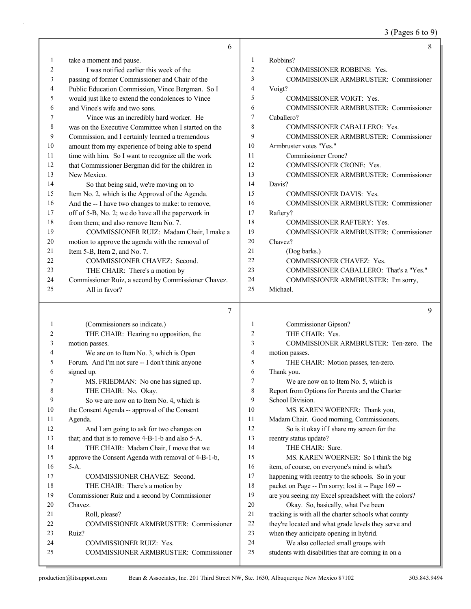3 (Pages 6 to 9)

|                | 6                                                    |                | 8                                                    |
|----------------|------------------------------------------------------|----------------|------------------------------------------------------|
| 1              | take a moment and pause.                             | 1              | Robbins?                                             |
| $\overline{c}$ | I was notified earlier this week of the              | $\overline{c}$ | <b>COMMISSIONER ROBBINS: Yes.</b>                    |
| 3              | passing of former Commissioner and Chair of the      | 3              | COMMISSIONER ARMBRUSTER: Commissioner                |
| 4              | Public Education Commission, Vince Bergman. So I     | 4              | Voigt?                                               |
| 5              | would just like to extend the condolences to Vince   | 5              | <b>COMMISSIONER VOIGT: Yes.</b>                      |
| 6              | and Vince's wife and two sons.                       | 6              | COMMISSIONER ARMBRUSTER: Commissioner                |
| 7              | Vince was an incredibly hard worker. He              | 7              | Caballero?                                           |
| 8              | was on the Executive Committee when I started on the | 8              | COMMISSIONER CABALLERO: Yes.                         |
| 9              | Commission, and I certainly learned a tremendous     | 9              | COMMISSIONER ARMBRUSTER: Commissioner                |
| 10             | amount from my experience of being able to spend     | 10             | Armbruster votes "Yes."                              |
| 11             | time with him. So I want to recognize all the work   | 11             | Commissioner Crone?                                  |
| 12             | that Commissioner Bergman did for the children in    | 12             | COMMISSIONER CRONE: Yes.                             |
| 13             | New Mexico.                                          | 13             | <b>COMMISSIONER ARMBRUSTER: Commissioner</b>         |
| 14             | So that being said, we're moving on to               | 14             | Davis?                                               |
| 15             | Item No. 2, which is the Approval of the Agenda.     | 15             | COMMISSIONER DAVIS: Yes.                             |
| 16             | And the -- I have two changes to make: to remove,    | 16             | <b>COMMISSIONER ARMBRUSTER: Commissioner</b>         |
| 17             | off of 5-B, No. 2; we do have all the paperwork in   | 17             | Raftery?                                             |
| 18             | from them; and also remove Item No. 7.               | 18             | <b>COMMISSIONER RAFTERY: Yes.</b>                    |
| 19             | COMMISSIONER RUIZ: Madam Chair, I make a             | 19             | COMMISSIONER ARMBRUSTER: Commissioner                |
| 20             | motion to approve the agenda with the removal of     | 20             | Chavez?                                              |
| 21             | Item 5-B, Item 2, and No. 7.                         | 21             | (Dog barks.)                                         |
| 22             | COMMISSIONER CHAVEZ: Second.                         | 22             | <b>COMMISSIONER CHAVEZ: Yes.</b>                     |
| 23             | THE CHAIR: There's a motion by                       | 23             | COMMISSIONER CABALLERO: That's a "Yes."              |
| 24             | Commissioner Ruiz, a second by Commissioner Chavez.  | 24             | COMMISSIONER ARMBRUSTER: I'm sorry,                  |
| 25             | All in favor?                                        | 25             | Michael.                                             |
|                |                                                      |                |                                                      |
|                | 7                                                    |                | 9                                                    |
| 1              | (Commissioners so indicate.)                         | 1              | Commissioner Gipson?                                 |
| 2              | THE CHAIR: Hearing no opposition, the                | 2              | THE CHAIR: Yes.                                      |
| 3              | motion passes.                                       | 3              | COMMISSIONER ARMBRUSTER: Ten-zero. The               |
| 4              | We are on to Item No. 3, which is Open               | 4              | motion passes.                                       |
| 5              | Forum. And I'm not sure -- I don't think anyone      | 5              |                                                      |
| 6              | signed up.                                           |                | THE CHAIR: Motion passes, ten-zero.                  |
| 7              |                                                      | 6              | Thank you.                                           |
|                | MS. FRIEDMAN: No one has signed up.                  | 7              | We are now on to Item No. 5, which is                |
| 8              | THE CHAIR: No. Okay.                                 | 8              | Report from Options for Parents and the Charter      |
| 9              | So we are now on to Item No. 4, which is             | 9              | School Division.                                     |
| 10             | the Consent Agenda -- approval of the Consent        | 10             | MS. KAREN WOERNER: Thank you,                        |
| 11             | Agenda.                                              | 11             | Madam Chair. Good morning, Commissioners.            |
| 12             | And I am going to ask for two changes on             | 12             | So is it okay if I share my screen for the           |
| 13             | that; and that is to remove 4-B-1-b and also 5-A.    | 13             | reentry status update?                               |
| 14             | THE CHAIR: Madam Chair, I move that we               | 14             | THE CHAIR: Sure.                                     |
| 15             | approve the Consent Agenda with removal of 4-B-1-b,  | 15             | MS. KAREN WOERNER: So I think the big                |
| 16             | $5-A.$                                               | 16             | item, of course, on everyone's mind is what's        |
| 17             | COMMISSIONER CHAVEZ: Second.                         | 17             | happening with reentry to the schools. So in your    |
| 18             | THE CHAIR: There's a motion by                       | 18             | packet on Page -- I'm sorry; lost it -- Page 169 --  |
| 19             | Commissioner Ruiz and a second by Commissioner       | 19             | are you seeing my Excel spreadsheet with the colors? |
| 20             | Chavez.                                              | 20             | Okay. So, basically, what I've been                  |
| 21             | Roll, please?                                        | 21             | tracking is with all the charter schools what county |
| 22             | COMMISSIONER ARMBRUSTER: Commissioner                | 22             | they're located and what grade levels they serve and |
| 23             | Ruiz?                                                | 23             | when they anticipate opening in hybrid.              |
| 24             | COMMISSIONER RUIZ: Yes.                              | 24             | We also collected small groups with                  |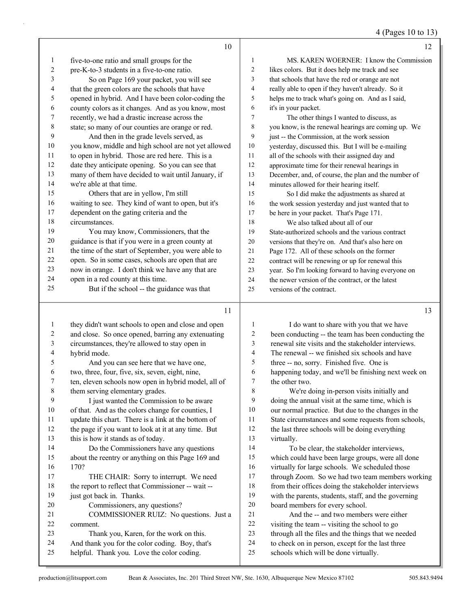4 (Pages 10 to 13)

|          | 10                                                   |                | 12                                                   |
|----------|------------------------------------------------------|----------------|------------------------------------------------------|
| $\bf{l}$ | five-to-one ratio and small groups for the           | 1              | MS. KAREN WOERNER: I know the Commission             |
| 2        | pre-K-to-3 students in a five-to-one ratio.          | 2              | likes colors. But it does help me track and see      |
| 3        | So on Page 169 your packet, you will see             | 3              | that schools that have the red or orange are not     |
| 4        | that the green colors are the schools that have      | $\overline{4}$ | really able to open if they haven't already. So it   |
| 5        | opened in hybrid. And I have been color-coding the   | 5              | helps me to track what's going on. And as I said,    |
| 6        | county colors as it changes. And as you know, most   | 6              | it's in your packet.                                 |
| 7        | recently, we had a drastic increase across the       | 7              | The other things I wanted to discuss, as             |
| 8        | state; so many of our counties are orange or red.    | 8              | you know, is the renewal hearings are coming up. We  |
| 9        | And then in the grade levels served, as              | 9              | just -- the Commission, at the work session          |
| 10       | you know, middle and high school are not yet allowed | 10             | yesterday, discussed this. But I will be e-mailing   |
| 11       | to open in hybrid. Those are red here. This is a     | 11             | all of the schools with their assigned day and       |
| 12       | date they anticipate opening. So you can see that    | 12             | approximate time for their renewal hearings in       |
| 13       | many of them have decided to wait until January, if  | 13             | December, and, of course, the plan and the number of |
| 14       | we're able at that time.                             | 14             | minutes allowed for their hearing itself.            |
| 15       | Others that are in yellow, I'm still                 | 15             | So I did make the adjustments as shared at           |
| 16       | waiting to see. They kind of want to open, but it's  | 16             | the work session yesterday and just wanted that to   |
| 17       | dependent on the gating criteria and the             | 17             | be here in your packet. That's Page 171.             |
| 18       | circumstances.                                       | 18             | We also talked about all of our                      |
| 19       | You may know, Commissioners, that the                | 19             | State-authorized schools and the various contract    |
| 20       | guidance is that if you were in a green county at    | 20             | versions that they're on. And that's also here on    |
| 21       | the time of the start of September, you were able to | 21             | Page 172. All of these schools on the former         |
| 22       | open. So in some cases, schools are open that are    | 22             | contract will be renewing or up for renewal this     |
| 23       | now in orange. I don't think we have any that are    | 23             | year. So I'm looking forward to having everyone on   |
| 24       | open in a red county at this time.                   | 24             | the newer version of the contract, or the latest     |
| 25       | But if the school -- the guidance was that           | 25             | versions of the contract.                            |
|          |                                                      |                |                                                      |

| 1  | they didn't want schools to open and close and open  | 1              | I do want to share with you that we have             |
|----|------------------------------------------------------|----------------|------------------------------------------------------|
| 2  | and close. So once opened, barring any extenuating   | 2              | been conducting -- the team has been conducting the  |
| 3  | circumstances, they're allowed to stay open in       | 3              | renewal site visits and the stakeholder interviews.  |
| 4  | hybrid mode.                                         | $\overline{4}$ | The renewal -- we finished six schools and have      |
| 5  | And you can see here that we have one,               | 5              | three -- no, sorry. Finished five. One is            |
| 6  | two, three, four, five, six, seven, eight, nine,     | 6              | happening today, and we'll be finishing next week on |
| 7  | ten, eleven schools now open in hybrid model, all of | 7              | the other two.                                       |
| 8  | them serving elementary grades.                      | 8              | We're doing in-person visits initially and           |
| 9  | I just wanted the Commission to be aware             | 9              | doing the annual visit at the same time, which is    |
| 10 | of that. And as the colors change for counties, I    | 10             | our normal practice. But due to the changes in the   |
| 11 | update this chart. There is a link at the bottom of  | 11             | State circumstances and some requests from schools,  |
| 12 | the page if you want to look at it at any time. But  | 12             | the last three schools will be doing everything      |
| 13 | this is how it stands as of today.                   | 13             | virtually.                                           |
| 14 | Do the Commissioners have any questions              | 14             | To be clear, the stakeholder interviews,             |
| 15 | about the reentry or anything on this Page 169 and   | 15             | which could have been large groups, were all done    |
| 16 | 170?                                                 | 16             | virtually for large schools. We scheduled those      |
| 17 | THE CHAIR: Sorry to interrupt. We need               | 17             | through Zoom. So we had two team members working     |
| 18 | the report to reflect that Commissioner -- wait --   | 18             | from their offices doing the stakeholder interviews  |
| 19 | just got back in. Thanks.                            | 19             | with the parents, students, staff, and the governing |
| 20 | Commissioners, any questions?                        | 20             | board members for every school.                      |
| 21 | COMMISSIONER RUIZ: No questions. Just a              | 21             | And the -- and two members were either               |
| 22 | comment.                                             | 22             | visiting the team -- visiting the school to go       |
| 23 | Thank you, Karen, for the work on this.              | 23             | through all the files and the things that we needed  |
| 24 | And thank you for the color coding. Boy, that's      | 24             | to check on in person, except for the last three     |
| 25 | helpful. Thank you. Love the color coding.           | 25             | schools which will be done virtually.                |
|    |                                                      |                |                                                      |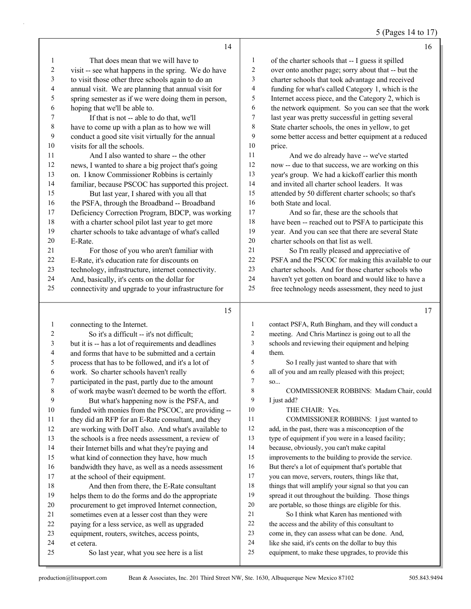5 (Pages 14 to 17)

|                | 14                                                                                                         |                         | 16                                                                                                         |
|----------------|------------------------------------------------------------------------------------------------------------|-------------------------|------------------------------------------------------------------------------------------------------------|
| 1              | That does mean that we will have to                                                                        | $\mathbf{1}$            | of the charter schools that -- I guess it spilled                                                          |
| $\overline{c}$ | visit -- see what happens in the spring. We do have                                                        | $\overline{c}$          | over onto another page; sorry about that -- but the                                                        |
| 3              | to visit those other three schools again to do an                                                          | 3                       | charter schools that took advantage and received                                                           |
| 4              | annual visit. We are planning that annual visit for                                                        | 4                       | funding for what's called Category 1, which is the                                                         |
| 5              | spring semester as if we were doing them in person,                                                        | 5                       | Internet access piece, and the Category 2, which is                                                        |
| 6              | hoping that we'll be able to.                                                                              | 6                       | the network equipment. So you can see that the work                                                        |
| 7              | If that is not -- able to do that, we'll                                                                   | $\tau$                  | last year was pretty successful in getting several                                                         |
| $\,8\,$        | have to come up with a plan as to how we will                                                              | $\,$ $\,$               | State charter schools, the ones in yellow, to get                                                          |
| $\overline{9}$ | conduct a good site visit virtually for the annual                                                         | 9                       | some better access and better equipment at a reduced                                                       |
| $10\,$         | visits for all the schools.                                                                                | $10\,$                  | price.                                                                                                     |
| 11             | And I also wanted to share -- the other                                                                    | 11                      | And we do already have -- we've started                                                                    |
| 12             | news, I wanted to share a big project that's going                                                         | 12                      | now -- due to that success, we are working on this                                                         |
| 13             | on. I know Commissioner Robbins is certainly                                                               | 13                      | year's group. We had a kickoff earlier this month                                                          |
| 14             | familiar, because PSCOC has supported this project.                                                        | 14                      | and invited all charter school leaders. It was                                                             |
| 15             | But last year, I shared with you all that                                                                  | 15                      | attended by 50 different charter schools; so that's                                                        |
| 16             | the PSFA, through the Broadband -- Broadband                                                               | 16                      | both State and local.                                                                                      |
| 17             | Deficiency Correction Program, BDCP, was working                                                           | 17                      | And so far, these are the schools that                                                                     |
| 18             | with a charter school pilot last year to get more                                                          | 18                      | have been -- reached out to PSFA to participate this                                                       |
| 19             | charter schools to take advantage of what's called                                                         | 19                      | year. And you can see that there are several State                                                         |
| 20             | E-Rate.                                                                                                    | 20                      | charter schools on that list as well.                                                                      |
| 21             | For those of you who aren't familiar with                                                                  | 21                      | So I'm really pleased and appreciative of                                                                  |
| $22\,$         | E-Rate, it's education rate for discounts on                                                               | 22                      | PSFA and the PSCOC for making this available to our                                                        |
| 23             | technology, infrastructure, internet connectivity.                                                         | 23                      | charter schools. And for those charter schools who                                                         |
| 24             | And, basically, it's cents on the dollar for                                                               | 24                      | haven't yet gotten on board and would like to have a                                                       |
| 25             | connectivity and upgrade to your infrastructure for                                                        | 25                      | free technology needs assessment, they need to just                                                        |
|                |                                                                                                            |                         |                                                                                                            |
|                |                                                                                                            |                         |                                                                                                            |
|                | 15                                                                                                         |                         | 17                                                                                                         |
| $\mathbf{1}$   |                                                                                                            | $\mathbf{1}$            |                                                                                                            |
| 2              | connecting to the Internet.<br>So it's a difficult -- it's not difficult;                                  | $\overline{c}$          | contact PSFA, Ruth Bingham, and they will conduct a<br>meeting. And Chris Martinez is going out to all the |
| $\mathfrak{Z}$ |                                                                                                            | 3                       |                                                                                                            |
| 4              | but it is -- has a lot of requirements and deadlines<br>and forms that have to be submitted and a certain  | $\overline{\mathbf{4}}$ | schools and reviewing their equipment and helping<br>them.                                                 |
| 5              |                                                                                                            | 5                       | So I really just wanted to share that with                                                                 |
| 6              | process that has to be followed, and it's a lot of                                                         | 6                       |                                                                                                            |
| 7              | work. So charter schools haven't really                                                                    | 7                       | all of you and am really pleased with this project;<br>SO                                                  |
| 8              | participated in the past, partly due to the amount                                                         | 8                       | COMMISSIONER ROBBINS: Madam Chair, could                                                                   |
| 9              | of work maybe wasn't deemed to be worth the effort.<br>But what's happening now is the PSFA, and           | 9                       | I just add?                                                                                                |
| 10             |                                                                                                            | 10                      | THE CHAIR: Yes.                                                                                            |
| 11             | funded with monies from the PSCOC, are providing --                                                        | 11                      | COMMISSIONER ROBBINS: I just wanted to                                                                     |
| 12             | they did an RFP for an E-Rate consultant, and they                                                         | 12                      | add, in the past, there was a misconception of the                                                         |
| 13             | are working with DoIT also. And what's available to<br>the schools is a free needs assessment, a review of | 13                      | type of equipment if you were in a leased facility;                                                        |
| 14             | their Internet bills and what they're paying and                                                           | 14                      | because, obviously, you can't make capital                                                                 |
| 15             | what kind of connection they have, how much                                                                | 15                      | improvements to the building to provide the service.                                                       |
| 16             | bandwidth they have, as well as a needs assessment                                                         | 16                      | But there's a lot of equipment that's portable that                                                        |
| 17             | at the school of their equipment.                                                                          | 17                      | you can move, servers, routers, things like that,                                                          |
| 18             |                                                                                                            | 18                      | things that will amplify your signal so that you can                                                       |
| 19             | And then from there, the E-Rate consultant                                                                 | 19                      | spread it out throughout the building. Those things                                                        |
| 20             | helps them to do the forms and do the appropriate<br>procurement to get improved Internet connection,      | 20                      | are portable, so those things are eligible for this.                                                       |
| 21             | sometimes even at a lesser cost than they were                                                             | 21                      | So I think what Karen has mentioned with                                                                   |
| 22             | paying for a less service, as well as upgraded                                                             | 22                      | the access and the ability of this consultant to                                                           |
| 23             | equipment, routers, switches, access points,                                                               | $23\,$                  | come in, they can assess what can be done. And,                                                            |
| 24             | et cetera.                                                                                                 | 24                      | like she said, it's cents on the dollar to buy this                                                        |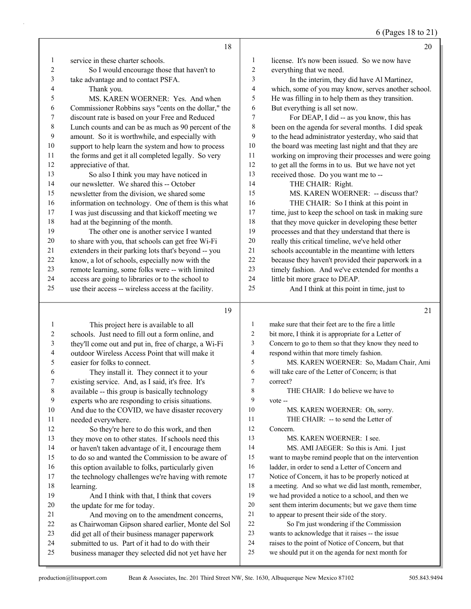6 (Pages 18 to 21)

|    | 18                                                   |                | 20                                                   |
|----|------------------------------------------------------|----------------|------------------------------------------------------|
| 1  | service in these charter schools.                    | 1              | license. It's now been issued. So we now have        |
| 2  | So I would encourage those that haven't to           | $\overline{2}$ | everything that we need.                             |
| 3  | take advantage and to contact PSFA.                  | 3              | In the interim, they did have Al Martinez,           |
| 4  | Thank you.                                           | $\overline{4}$ | which, some of you may know, serves another school.  |
| 5  | MS. KAREN WOERNER: Yes. And when                     | 5              | He was filling in to help them as they transition.   |
| 6  | Commissioner Robbins says "cents on the dollar," the | 6              | But everything is all set now.                       |
| 7  | discount rate is based on your Free and Reduced      | 7              | For DEAP, I did -- as you know, this has             |
| 8  | Lunch counts and can be as much as 90 percent of the | 8              | been on the agenda for several months. I did speak   |
| 9  | amount. So it is worthwhile, and especially with     | 9              | to the head administrator yesterday, who said that   |
| 10 | support to help learn the system and how to process  | 10             | the board was meeting last night and that they are   |
| 11 | the forms and get it all completed legally. So very  | 11             | working on improving their processes and were going  |
| 12 | appreciative of that.                                | 12             | to get all the forms in to us. But we have not yet   |
| 13 | So also I think you may have noticed in              | 13             | received those. Do you want me to --                 |
| 14 | our newsletter. We shared this -- October            | 14             | THE CHAIR: Right.                                    |
| 15 | newsletter from the division, we shared some         | 15             | MS. KAREN WOERNER: -- discuss that?                  |
| 16 | information on technology. One of them is this what  | 16             | THE CHAIR: So I think at this point in               |
| 17 | I was just discussing and that kickoff meeting we    | 17             | time, just to keep the school on task in making sure |
| 18 | had at the beginning of the month.                   | 18             | that they move quicker in developing these better    |
| 19 | The other one is another service I wanted            | 19             | processes and that they understand that there is     |
| 20 | to share with you, that schools can get free Wi-Fi   | 20             | really this critical timeline, we've held other      |
| 21 | extenders in their parking lots that's beyond -- you | 21             | schools accountable in the meantime with letters     |
| 22 | know, a lot of schools, especially now with the      | 22             | because they haven't provided their paperwork in a   |
| 23 | remote learning, some folks were -- with limited     | 23             | timely fashion. And we've extended for months a      |
| 24 | access are going to libraries or to the school to    | 24             | little bit more grace to DEAP.                       |
| 25 | use their access -- wireless access at the facility. | 25             | And I think at this point in time, just to           |
|    |                                                      |                |                                                      |

1 This project here is available to all schools. Just need to fill out a form online, and they'll come out and put in, free of charge, a Wi-Fi outdoor Wireless Access Point that will make it easier for folks to connect. 6 They install it. They connect it to your existing service. And, as I said, it's free. It's available -- this group is basically technology experts who are responding to crisis situations. And due to the COVID, we have disaster recovery needed everywhere. 12 So they're here to do this work, and then they move on to other states. If schools need this or haven't taken advantage of it, I encourage them to do so and wanted the Commission to be aware of 16 this option available to folks, particularly given the technology challenges we're having with remote learning. 19 And I think with that, I think that covers the update for me for today. 21 And moving on to the amendment concerns, as Chairwoman Gipson shared earlier, Monte del Sol did get all of their business manager paperwork submitted to us. Part of it had to do with their business manager they selected did not yet have her make sure that their feet are to the fire a little bit more, I think it is appropriate for a Letter of Concern to go to them so that they know they need to respond within that more timely fashion. 5 MS. KAREN WOERNER: So, Madam Chair, Ami will take care of the Letter of Concern; is that correct? 8 THE CHAIR: I do believe we have to vote -- 10 MS. KAREN WOERNER: Oh, sorry. 11 THE CHAIR: -- to send the Letter of Concern. 13 MS. KAREN WOERNER: I see. 14 MS. AMI JAEGER: So this is Ami. I just want to maybe remind people that on the intervention 16 ladder, in order to send a Letter of Concern and Notice of Concern, it has to be properly noticed at a meeting. And so what we did last month, remember, we had provided a notice to a school, and then we sent them interim documents; but we gave them time to appear to present their side of the story. 22 So I'm just wondering if the Commission wants to acknowledge that it raises -- the issue raises to the point of Notice of Concern, but that we should put it on the agenda for next month for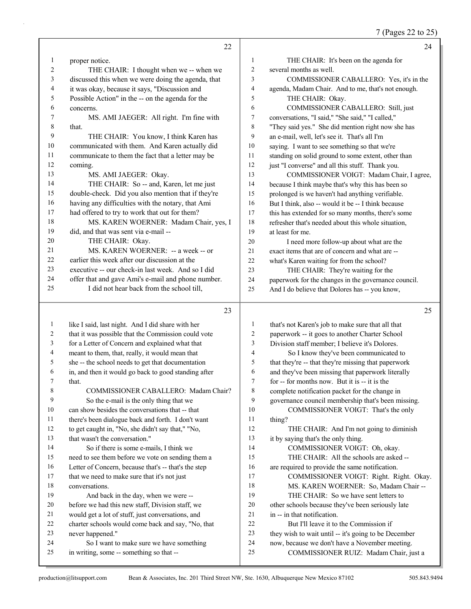| 7 (Pages 22 to 25) |
|--------------------|
|--------------------|

|              | 22                                                   |                  | 24                                                   |
|--------------|------------------------------------------------------|------------------|------------------------------------------------------|
| 1            | proper notice.                                       | $\mathbf{1}$     | THE CHAIR: It's been on the agenda for               |
| 2            | THE CHAIR: I thought when we -- when we              | $\overline{c}$   | several months as well.                              |
| 3            | discussed this when we were doing the agenda, that   | 3                | COMMISSIONER CABALLERO: Yes, it's in the             |
| 4            | it was okay, because it says, "Discussion and        | 4                | agenda, Madam Chair. And to me, that's not enough.   |
| 5            | Possible Action" in the -- on the agenda for the     | 5                | THE CHAIR: Okay.                                     |
| 6            | concerns.                                            | 6                | COMMISSIONER CABALLERO: Still, just                  |
| 7            | MS. AMI JAEGER: All right. I'm fine with             | 7                | conversations, "I said," "She said," "I called,"     |
| 8            | that.                                                | 8                | "They said yes." She did mention right now she has   |
| 9            | THE CHAIR: You know, I think Karen has               | 9                | an e-mail, well, let's see it. That's all I'm        |
| 10           | communicated with them. And Karen actually did       | 10               | saying. I want to see something so that we're        |
| 11           | communicate to them the fact that a letter may be    | 11               | standing on solid ground to some extent, other than  |
| 12           | coming.                                              | 12               | just "I converse" and all this stuff. Thank you.     |
| 13           | MS. AMI JAEGER: Okay.                                | 13               | COMMISSIONER VOIGT: Madam Chair, I agree,            |
| 14           | THE CHAIR: So -- and, Karen, let me just             | 14               | because I think maybe that's why this has been so    |
| 15           | double-check. Did you also mention that if they're   | 15               | prolonged is we haven't had anything verifiable.     |
| 16           | having any difficulties with the notary, that Ami    | 16               | But I think, also -- would it be -- I think because  |
| 17           | had offered to try to work that out for them?        | 17               | this has extended for so many months, there's some   |
| 18           | MS. KAREN WOERNER: Madam Chair, yes, I               | 18               | refresher that's needed about this whole situation,  |
| 19           | did, and that was sent via e-mail --                 | 19               | at least for me.                                     |
| 20           | THE CHAIR: Okay.                                     | 20               | I need more follow-up about what are the             |
| 21           | MS. KAREN WOERNER: -- a week -- or                   | 21               | exact items that are of concern and what are --      |
| 22           | earlier this week after our discussion at the        | 22               | what's Karen waiting for from the school?            |
| 23           | executive -- our check-in last week. And so I did    | 23               | THE CHAIR: They're waiting for the                   |
| 24           | offer that and gave Ami's e-mail and phone number.   | 24               | paperwork for the changes in the governance council. |
| 25           | I did not hear back from the school till,            | 25               | And I do believe that Dolores has -- you know,       |
|              | 23                                                   |                  | 25                                                   |
| $\mathbf{1}$ | like I said, last night. And I did share with her    | 1                | that's not Karen's job to make sure that all that    |
| 2            | that it was possible that the Commission could vote  | 2                | paperwork -- it goes to another Charter School       |
| 3            | for a Letter of Concern and explained what that      | 3                | Division staff member; I believe it's Dolores.       |
| 4            | meant to them, that, really, it would mean that      | 4                | So I know they've been communicated to               |
| 5            | she -- the school needs to get that documentation    | 5                | that they're -- that they're missing that paperwork  |
| 6            | in, and then it would go back to good standing after | 6                | and they've been missing that paperwork literally    |
|              | that.                                                | $\boldsymbol{7}$ | for -- for months now. But it is -- it is the        |
| 8            | COMMISSIONER CABALLERO: Madam Chair?                 | 8                | complete notification packet for the change in       |
| 9            | So the e-mail is the only thing that we              | 9                | governance council membership that's been missing.   |
| 10           | can show besides the conversations that -- that      | 10               | COMMISSIONER VOIGT: That's the only                  |
| 11           | there's been dialogue back and forth. I don't want   | 11               | thing?                                               |
| 12           | to get caught in, "No, she didn't say that," "No,    | 12               | THE CHAIR: And I'm not going to diminish             |
| 13           | that wasn't the conversation."                       | 13               | it by saying that's the only thing.                  |
| 14           | So if there is some e-mails, I think we              | 14               | COMMISSIONER VOIGT: Oh, okay.                        |
| 15           | need to see them before we vote on sending them a    | 15               | THE CHAIR: All the schools are asked --              |
| 16           | Letter of Concern, because that's -- that's the step | 16               | are required to provide the same notification.       |
| 17           | that we need to make sure that it's not just         | 17               | COMMISSIONER VOIGT: Right. Right. Okay.              |

17 COMMISSIONER VOIGT: Right. Right. Okay.

18 MS. KAREN WOERNER: So, Madam Chair --

19 THE CHAIR: So we have sent letters to

- other schools because they've been seriously late
- in -- in that notification.

22 But I'll leave it to the Commission if<br>23 they wish to wait until -- it's going to be De

they wish to wait until -- it's going to be December

- now, because we don't have a November meeting.
- 25 COMMISSIONER RUIZ: Madam Chair, just a

conversations.

never happened."

19 And back in the day, when we were -- before we had this new staff, Division staff, we would get a lot of stuff, just conversations, and charter schools would come back and say, "No, that

24 So I want to make sure we have something

in writing, some -- something so that --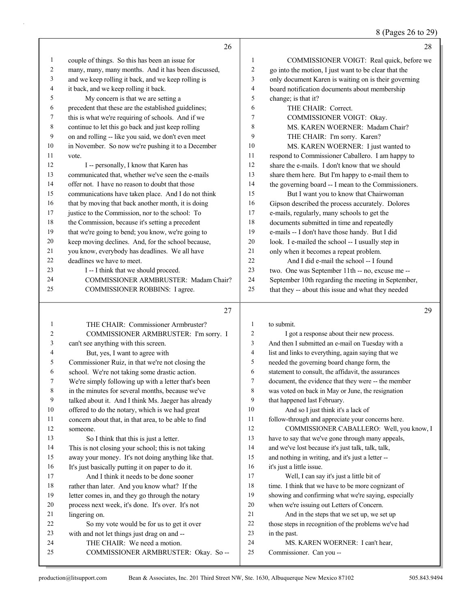8 (Pages 26 to 29)

|              | 26                                                                            |                | 28                                                                                                    |
|--------------|-------------------------------------------------------------------------------|----------------|-------------------------------------------------------------------------------------------------------|
| $\mathbf{1}$ | couple of things. So this has been an issue for                               | 1              | COMMISSIONER VOIGT: Real quick, before we                                                             |
| 2            | many, many, many months. And it has been discussed,                           | 2              | go into the motion, I just want to be clear that the                                                  |
| 3            | and we keep rolling it back, and we keep rolling is                           | 3              | only document Karen is waiting on is their governing                                                  |
| 4            | it back, and we keep rolling it back.                                         | 4              | board notification documents about membership                                                         |
| 5            | My concern is that we are setting a                                           | 5              | change; is that it?                                                                                   |
| 6            | precedent that these are the established guidelines;                          | 6              | THE CHAIR: Correct.                                                                                   |
| 7            | this is what we're requiring of schools. And if we                            | 7              | COMMISSIONER VOIGT: Okay.                                                                             |
| 8            | continue to let this go back and just keep rolling                            | 8              | MS. KAREN WOERNER: Madam Chair?                                                                       |
| 9            | on and rolling -- like you said, we don't even meet                           | 9              | THE CHAIR: I'm sorry. Karen?                                                                          |
| 10           | in November. So now we're pushing it to a December                            | 10             | MS. KAREN WOERNER: I just wanted to                                                                   |
| 11           | vote.                                                                         | 11             | respond to Commissioner Caballero. I am happy to                                                      |
| 12           | I -- personally, I know that Karen has                                        | 12             | share the e-mails. I don't know that we should                                                        |
| 13           | communicated that, whether we've seen the e-mails                             | 13             | share them here. But I'm happy to e-mail them to                                                      |
| 14           | offer not. I have no reason to doubt that those                               | 14             | the governing board -- I mean to the Commissioners.                                                   |
| 15           | communications have taken place. And I do not think                           | 15             | But I want you to know that Chairwoman                                                                |
| 16           | that by moving that back another month, it is doing                           | 16             | Gipson described the process accurately. Dolores                                                      |
| 17           | justice to the Commission, nor to the school: To                              | 17             | e-mails, regularly, many schools to get the                                                           |
| 18           | the Commission, because it's setting a precedent                              | 18             | documents submitted in time and repeatedly                                                            |
| 19           | that we're going to bend; you know, we're going to                            | 19             | e-mails -- I don't have those handy. But I did                                                        |
| 20           | keep moving declines. And, for the school because,                            | 20             | look. I e-mailed the school -- I usually step in                                                      |
| 21           | you know, everybody has deadlines. We all have                                | 21             | only when it becomes a repeat problem.                                                                |
| 22           | deadlines we have to meet.                                                    | 22             | And I did e-mail the school -- I found                                                                |
| 23           |                                                                               | 23             |                                                                                                       |
| 24           | I -- I think that we should proceed.<br>COMMISSIONER ARMBRUSTER: Madam Chair? | 24             | two. One was September 11th -- no, excuse me --<br>September 10th regarding the meeting in September, |
| 25           |                                                                               | 25             |                                                                                                       |
|              | COMMISSIONER ROBBINS: I agree.                                                |                | that they -- about this issue and what they needed                                                    |
|              | 27                                                                            |                | 29                                                                                                    |
|              |                                                                               |                |                                                                                                       |
| $\mathbf{1}$ | THE CHAIR: Commissioner Armbruster?                                           | $\mathbf{1}$   | to submit.                                                                                            |
| 2            | COMMISSIONER ARMBRUSTER: I'm sorry. I                                         | $\overline{c}$ | I got a response about their new process.                                                             |
| 3            | can't see anything with this screen.                                          | 3              | And then I submitted an e-mail on Tuesday with a                                                      |
| 4            | But, yes, I want to agree with                                                | $\overline{4}$ | list and links to everything, again saying that we                                                    |
| 5            | Commissioner Ruiz, in that we're not closing the                              | 5              | needed the governing board change form, the                                                           |
| 6            | school. We're not taking some drastic action.                                 | 6              | statement to consult, the affidavit, the assurances                                                   |
| 7            | We're simply following up with a letter that's been                           | 7              | document, the evidence that they were -- the member                                                   |
| 8            | in the minutes for several months, because we've                              | 8              | was voted on back in May or June, the resignation                                                     |
| 9            | talked about it. And I think Ms. Jaeger has already                           | 9              | that happened last February.                                                                          |
| 10           | offered to do the notary, which is we had great                               | 10             | And so I just think it's a lack of                                                                    |
| 11           | concern about that, in that area, to be able to find                          | 11             | follow-through and appreciate your concerns here.                                                     |
| 12           | someone.                                                                      | 12             | COMMISSIONER CABALLERO: Well, you know, I                                                             |
| 13           | So I think that this is just a letter.                                        | 13             | have to say that we've gone through many appeals,                                                     |
| 14           | This is not closing your school; this is not taking                           | 14             | and we've lost because it's just talk, talk, talk,                                                    |
| 15           | away your money. It's not doing anything like that.                           | 15             | and nothing in writing, and it's just a letter --                                                     |
| 16           | It's just basically putting it on paper to do it.                             | 16             | it's just a little issue.                                                                             |
| 17           | And I think it needs to be done sooner                                        | 17             | Well, I can say it's just a little bit of                                                             |
| 18           | rather than later. And you know what? If the                                  | 18             | time. I think that we have to be more cognizant of                                                    |
| 19           | letter comes in, and they go through the notary                               | 19             | showing and confirming what we're saying, especially                                                  |
| $20\,$       | process next week, it's done. It's over. It's not                             | 20             | when we're issuing out Letters of Concern.                                                            |
| 21           | lingering on.                                                                 | 21             | And in the steps that we set up, we set up                                                            |
| 22           | So my vote would be for us to get it over                                     | 22             | those steps in recognition of the problems we've had                                                  |
| 23           | with and not let things just drag on and --                                   | 23             | in the past.                                                                                          |
| 24           | THE CHAIR: We need a motion.                                                  | 24             | MS. KAREN WOERNER: I can't hear,                                                                      |
| 25           | COMMISSIONER ARMBRUSTER: Okay. So --                                          | 25             | Commissioner. Can you --                                                                              |
|              |                                                                               |                |                                                                                                       |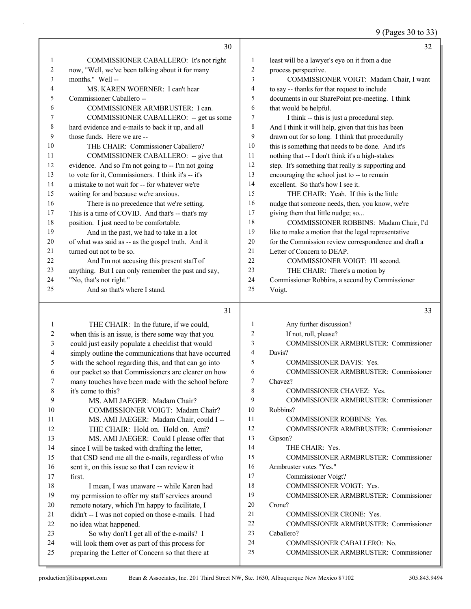9 (Pages 30 to 33)

|                  | 30                                                   |                  | 32                                                   |
|------------------|------------------------------------------------------|------------------|------------------------------------------------------|
| 1                | COMMISSIONER CABALLERO: It's not right               | $\mathbf{1}$     | least will be a lawyer's eye on it from a due        |
| $\overline{c}$   | now, "Well, we've been talking about it for many     | $\mathfrak{2}$   | process perspective.                                 |
| 3                | months." Well-                                       | $\overline{3}$   | COMMISSIONER VOIGT: Madam Chair, I want              |
| 4                | MS. KAREN WOERNER: I can't hear                      | $\overline{4}$   | to say -- thanks for that request to include         |
| 5                | Commissioner Caballero --                            | 5                | documents in our SharePoint pre-meeting. I think     |
| 6                | COMMISSIONER ARMBRUSTER: I can.                      | 6                | that would be helpful.                               |
| 7                | COMMISSIONER CABALLERO: -- get us some               | $\tau$           | I think -- this is just a procedural step.           |
| $\,$ $\,$        | hard evidence and e-mails to back it up, and all     | $\,$ 8 $\,$      | And I think it will help, given that this has been   |
| 9                | those funds. Here we are --                          | 9                | drawn out for so long. I think that procedurally     |
| 10               | THE CHAIR: Commissioner Caballero?                   | 10               | this is something that needs to be done. And it's    |
| 11               | COMMISSIONER CABALLERO: -- give that                 | 11               | nothing that -- I don't think it's a high-stakes     |
| 12               | evidence. And so I'm not going to -- I'm not going   | 12               | step. It's something that really is supporting and   |
| 13               | to vote for it, Commissioners. I think it's -- it's  | 13               | encouraging the school just to -- to remain          |
| 14               | a mistake to not wait for -- for whatever we're      | 14               | excellent. So that's how I see it.                   |
| 15               | waiting for and because we're anxious.               | 15               | THE CHAIR: Yeah. If this is the little               |
| 16               | There is no precedence that we're setting.           | 16               | nudge that someone needs, then, you know, we're      |
| 17               | This is a time of COVID. And that's -- that's my     | 17               | giving them that little nudge; so                    |
| 18               | position. I just need to be comfortable.             | 18               | COMMISSIONER ROBBINS: Madam Chair, I'd               |
| 19               | And in the past, we had to take in a lot             | 19               | like to make a motion that the legal representative  |
| 20               | of what was said as -- as the gospel truth. And it   | 20               | for the Commission review correspondence and draft a |
| 21               | turned out not to be so.                             | 21               | Letter of Concern to DEAP.                           |
| 22               | And I'm not accusing this present staff of           | 22               | COMMISSIONER VOIGT: I'll second.                     |
| 23               | anything. But I can only remember the past and say,  | 23               | THE CHAIR: There's a motion by                       |
| 24               | "No, that's not right."                              | 24               | Commissioner Robbins, a second by Commissioner       |
| 25               | And so that's where I stand.                         | 25               | Voigt.                                               |
|                  | 31                                                   |                  | 33                                                   |
| $\mathbf{1}$     | THE CHAIR: In the future, if we could,               | $\mathbf{1}$     | Any further discussion?                              |
| $\sqrt{2}$       | when this is an issue, is there some way that you    | $\overline{c}$   | If not, roll, please?                                |
| 3                | could just easily populate a checklist that would    | $\mathfrak{Z}$   | COMMISSIONER ARMBRUSTER: Commissioner                |
| $\overline{4}$   | simply outline the communications that have occurred | $\overline{4}$   | Davis?                                               |
| 5                | with the school regarding this, and that can go into | 5                | <b>COMMISSIONER DAVIS: Yes.</b>                      |
| 6                | our packet so that Commissioners are clearer on how  | 6                | <b>COMMISSIONER ARMBRUSTER: Commissioner</b>         |
| $\boldsymbol{7}$ | many touches have been made with the school before   | $\boldsymbol{7}$ | Chavez?                                              |
| $\,$ $\,$        | it's come to this?                                   | $\,$ $\,$        | COMMISSIONER CHAVEZ: Yes.                            |
| 9                | MS. AMI JAEGER: Madam Chair?                         | 9                | COMMISSIONER ARMBRUSTER: Commissioner                |
| 10               | COMMISSIONER VOIGT: Madam Chair?                     | 10               | Robbins?                                             |
| 11               | MS. AMI JAEGER: Madam Chair, could I --              | 11               | COMMISSIONER ROBBINS: Yes.                           |
| 12               | THE CHAIR: Hold on. Hold on. Ami?                    | 12               | COMMISSIONER ARMBRUSTER: Commissioner                |

13 MS. AMI JAEGER: Could I please offer that 14 since I will be tasked with drafting the letter, 15 that CSD send me all the e-mails, regardless of who 16 sent it, on this issue so that I can review it 17 first.

18 I mean, I was unaware -- while Karen had my permission to offer my staff services around remote notary, which I'm happy to facilitate, I didn't -- I was not copied on those e-mails. I had

22 no idea what happened.

23 So why don't I get all of the e-mails? I 24 will look them over as part of this process for

25 preparing the Letter of Concern so that there at

15 COMMISSIONER ARMBRUSTER: Commissioner

16 Armbruster votes "Yes."

14 THE CHAIR: Yes.

- 17 Commissioner Voigt?
- 18 COMMISSIONER VOIGT: Yes.
- 19 COMMISSIONER ARMBRUSTER: Commissioner
- 20 Crone?

13 Gipson?

- 21 COMMISSIONER CRONE: Yes.
- 22 COMMISSIONER ARMBRUSTER: Commissioner
- 23 Caballero?
- 24 COMMISSIONER CABALLERO: No.
- 25 COMMISSIONER ARMBRUSTER: Commissioner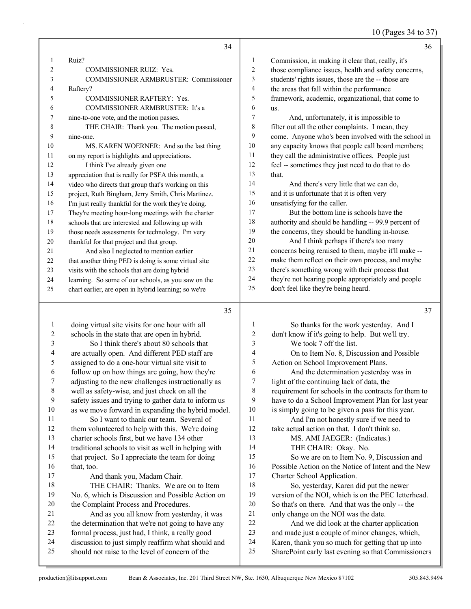# 10 (Pages 34 to 37)

|                | 34                                                   |    | 36                                                   |
|----------------|------------------------------------------------------|----|------------------------------------------------------|
| 1              | Ruiz?                                                | 1  | Commission, in making it clear that, really, it's    |
| $\overline{c}$ | <b>COMMISSIONER RUIZ: Yes.</b>                       | 2  | those compliance issues, health and safety concerns, |
| 3              | <b>COMMISSIONER ARMBRUSTER: Commissioner</b>         | 3  | students' rights issues, those are the -- those are  |
| 4              | Raftery?                                             | 4  | the areas that fall within the performance           |
| 5              | <b>COMMISSIONER RAFTERY: Yes.</b>                    | 5  | framework, academic, organizational, that come to    |
| 6              | COMMISSIONER ARMBRUSTER: It's a                      | 6  | us.                                                  |
| 7              | nine-to-one vote, and the motion passes.             | 7  | And, unfortunately, it is impossible to              |
| 8              | THE CHAIR: Thank you. The motion passed,             | 8  | filter out all the other complaints. I mean, they    |
| 9              | nine-one.                                            | 9  | come. Anyone who's been involved with the school in  |
| 10             | MS. KAREN WOERNER: And so the last thing             | 10 | any capacity knows that people call board members;   |
| 11             | on my report is highlights and appreciations.        | 11 | they call the administrative offices. People just    |
| 12             | I think I've already given one                       | 12 | feel -- sometimes they just need to do that to do    |
| 13             | appreciation that is really for PSFA this month, a   | 13 | that.                                                |
| 14             | video who directs that group that's working on this  | 14 | And there's very little that we can do,              |
| 15             | project, Ruth Bingham, Jerry Smith, Chris Martinez.  | 15 | and it is unfortunate that it is often very          |
| 16             | I'm just really thankful for the work they're doing. | 16 | unsatisfying for the caller.                         |
| 17             | They're meeting hour-long meetings with the charter  | 17 | But the bottom line is schools have the              |
| 18             | schools that are interested and following up with    | 18 | authority and should be handling -- 99.9 percent of  |
| 19             | those needs assessments for technology. I'm very     | 19 | the concerns, they should be handling in-house.      |
| 20             | thankful for that project and that group.            | 20 | And I think perhaps if there's too many              |
| 21             | And also I neglected to mention earlier              | 21 | concerns being reraised to them, maybe it'll make -- |
| 22             | that another thing PED is doing is some virtual site | 22 | make them reflect on their own process, and maybe    |
| 23             | visits with the schools that are doing hybrid        | 23 | there's something wrong with their process that      |
| 24             | learning. So some of our schools, as you saw on the  | 24 | they're not hearing people appropriately and people  |
| 25             | chart earlier, are open in hybrid learning; so we're | 25 | don't feel like they're being heard.                 |
|                | 35                                                   |    | 37                                                   |

| 1  | doing virtual site visits for one hour with all      |    | So thanks for the work yesterday. And I              |
|----|------------------------------------------------------|----|------------------------------------------------------|
| 2  | schools in the state that are open in hybrid.        | 2  | don't know if it's going to help. But we'll try.     |
| 3  | So I think there's about 80 schools that             | 3  | We took 7 off the list.                              |
| 4  | are actually open. And different PED staff are       | 4  | On to Item No. 8, Discussion and Possible            |
| 5  | assigned to do a one-hour virtual site visit to      | 5  | Action on School Improvement Plans.                  |
| 6  | follow up on how things are going, how they're       | 6  | And the determination yesterday was in               |
| 7  | adjusting to the new challenges instructionally as   | 7  | light of the continuing lack of data, the            |
| 8  | well as safety-wise, and just check on all the       | 8  | requirement for schools in the contracts for them to |
| 9  | safety issues and trying to gather data to inform us | 9  | have to do a School Improvement Plan for last year   |
| 10 | as we move forward in expanding the hybrid model.    | 10 | is simply going to be given a pass for this year.    |
| 11 | So I want to thank our team. Several of              | 11 | And I'm not honestly sure if we need to              |
| 12 | them volunteered to help with this. We're doing      | 12 | take actual action on that. I don't think so.        |
| 13 | charter schools first, but we have 134 other         | 13 | MS. AMI JAEGER: (Indicates.)                         |
| 14 | traditional schools to visit as well in helping with | 14 | THE CHAIR: Okay. No.                                 |
| 15 | that project. So I appreciate the team for doing     | 15 | So we are on to Item No. 9, Discussion and           |
| 16 | that, too.                                           | 16 | Possible Action on the Notice of Intent and the New  |
| 17 | And thank you, Madam Chair.                          | 17 | Charter School Application.                          |
| 18 | THE CHAIR: Thanks. We are on to Item                 | 18 | So, yesterday, Karen did put the newer               |
| 19 | No. 6, which is Discussion and Possible Action on    | 19 | version of the NOI, which is on the PEC letterhead.  |
| 20 | the Complaint Process and Procedures.                | 20 | So that's on there. And that was the only -- the     |
| 21 | And as you all know from yesterday, it was           | 21 | only change on the NOI was the date.                 |
| 22 | the determination that we're not going to have any   | 22 | And we did look at the charter application           |
| 23 | formal process, just had, I think, a really good     | 23 | and made just a couple of minor changes, which,      |
| 24 | discussion to just simply reaffirm what should and   | 24 | Karen, thank you so much for getting that up into    |
| 25 | should not raise to the level of concern of the      | 25 | SharePoint early last evening so that Commissioners  |
|    |                                                      |    |                                                      |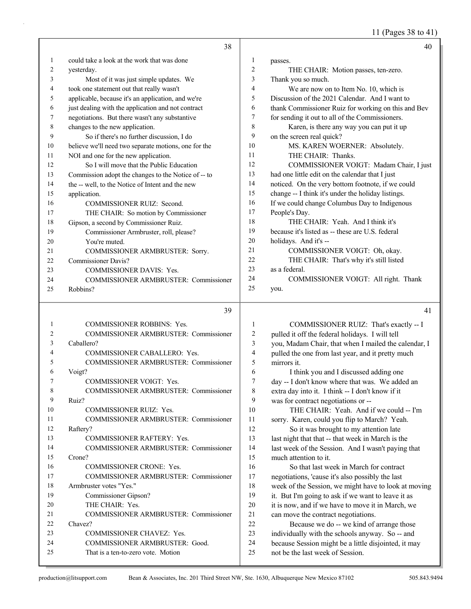11 (Pages 38 to 41)

|              | 38                                                   |                  | 40                                                   |
|--------------|------------------------------------------------------|------------------|------------------------------------------------------|
| $\mathbf{1}$ | could take a look at the work that was done          | $\mathbf{1}$     | passes.                                              |
| 2            | yesterday.                                           | $\overline{c}$   | THE CHAIR: Motion passes, ten-zero.                  |
| 3            | Most of it was just simple updates. We               | 3                | Thank you so much.                                   |
| 4            | took one statement out that really wasn't            | $\overline{4}$   | We are now on to Item No. 10, which is               |
| 5            | applicable, because it's an application, and we're   | 5                | Discussion of the 2021 Calendar. And I want to       |
| 6            | just dealing with the application and not contract   | 6                | thank Commissioner Ruiz for working on this and Bev  |
| 7            | negotiations. But there wasn't any substantive       | $\boldsymbol{7}$ | for sending it out to all of the Commissioners.      |
| 8            | changes to the new application.                      | 8                | Karen, is there any way you can put it up            |
| 9            | So if there's no further discussion, I do            | 9                | on the screen real quick?                            |
| 10           | believe we'll need two separate motions, one for the | 10               | MS. KAREN WOERNER: Absolutely.                       |
| 11           | NOI and one for the new application.                 | 11               | THE CHAIR: Thanks.                                   |
| 12           | So I will move that the Public Education             | 12               | COMMISSIONER VOIGT: Madam Chair, I just              |
| 13           | Commission adopt the changes to the Notice of -- to  | 13               | had one little edit on the calendar that I just      |
| 14           | the -- well, to the Notice of Intent and the new     | 14               | noticed. On the very bottom footnote, if we could    |
| 15           | application.                                         | 15               | change -- I think it's under the holiday listings.   |
| 16           | COMMISSIONER RUIZ: Second.                           | 16               | If we could change Columbus Day to Indigenous        |
| 17           | THE CHAIR: So motion by Commissioner                 | 17               | People's Day.                                        |
| 18           | Gipson, a second by Commissioner Ruiz.               | 18               | THE CHAIR: Yeah. And I think it's                    |
| 19           | Commissioner Armbruster, roll, please?               | 19               | because it's listed as -- these are U.S. federal     |
| 20           | You're muted.                                        | 20               | holidays. And it's --                                |
| 21           | COMMISSIONER ARMBRUSTER: Sorry.                      | 21               | COMMISSIONER VOIGT: Oh, okay.                        |
| 22           | <b>Commissioner Davis?</b>                           | 22               | THE CHAIR: That's why it's still listed              |
| 23           | COMMISSIONER DAVIS: Yes.                             | 23               | as a federal.                                        |
| 24           | COMMISSIONER ARMBRUSTER: Commissioner                | 24               | COMMISSIONER VOIGT: All right. Thank                 |
| 25           | Robbins?                                             | 25               | you.                                                 |
|              | 39                                                   |                  | 41                                                   |
| $\mathbf{1}$ | COMMISSIONER ROBBINS: Yes.                           | $\mathbf{1}$     | COMMISSIONER RUIZ: That's exactly -- I               |
| 2            | COMMISSIONER ARMBRUSTER: Commissioner                | $\sqrt{2}$       | pulled it off the federal holidays. I will tell      |
| 3            | Caballero?                                           | 3                | you, Madam Chair, that when I mailed the calendar, I |
| 4            | COMMISSIONER CABALLERO: Yes.                         | $\overline{4}$   | pulled the one from last year, and it pretty much    |
| 5            | COMMISSIONER ARMBRUSTER: Commissioner                | 5                | mirrors it.                                          |
| 6            | Voigt?                                               | 6                | I think you and I discussed adding one               |
|              | COMMISSIONER VOIGT: Yes.                             | 7                | day -- I don't know where that was. We added an      |
| 8            | COMMISSIONER ARMBRUSTER: Commissioner                | 8                | extra day into it. I think -- I don't know if it     |
| 9            | Ruiz?                                                | 9                | was for contract negotiations or --                  |
| 10           | COMMISSIONER RUIZ: Yes.                              | 10               | THE CHAIR: Yeah. And if we could -- I'm              |
| 11           | COMMISSIONER ARMBRUSTER: Commissioner                | 11               | sorry. Karen, could you flip to March? Yeah.         |
| 12           | Raftery?                                             | 12               | So it was brought to my attention late               |
| 13           | COMMISSIONER RAFTERY: Yes.                           | 13               | last night that that -- that week in March is the    |
| 14           | COMMISSIONER ARMBRUSTER: Commissioner                | 14               | last week of the Session. And I wasn't paying that   |
| 15           | Crone?                                               | 15               | much attention to it.                                |
| 16           | COMMISSIONER CRONE: Yes.                             | 16               | So that last week in March for contract              |
| 17           | COMMISSIONER ARMBRUSTER: Commissioner                | 17               | negotiations, 'cause it's also possibly the last     |
| 18           | Armbruster votes "Yes."                              | 18               | week of the Session, we might have to look at moving |
| 19           | Commissioner Gipson?                                 | 19               | it. But I'm going to ask if we want to leave it as   |

19 it. But I'm going to ask if we want to leave it as 20 it is now, and if we have to move it in March, we 21 can move the contract negotiations.

22 Because we do -- we kind of arrange those individually with the schools anyway. So -- and because Session might be a little disjointed, it may not be the last week of Session.

22 Chavez?

20 THE CHAIR: Yes.

21 COMMISSIONER ARMBRUSTER: Commissioner

23 COMMISSIONER CHAVEZ: Yes. 24 COMMISSIONER ARMBRUSTER: Good.

25 That is a ten-to-zero vote. Motion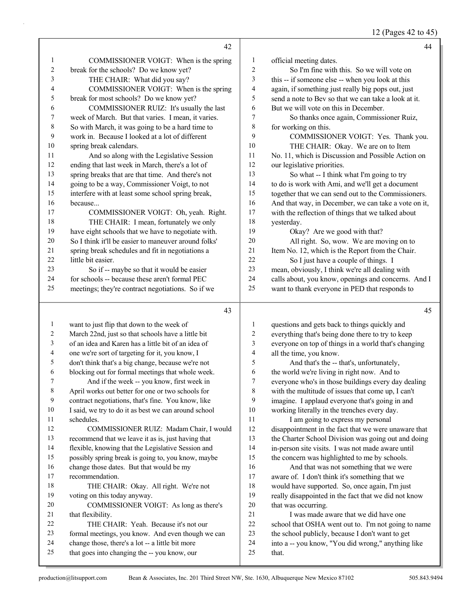# 12 (Pages 42 to 45)

|                  | 42                                                                                               |                | 44                                                          |
|------------------|--------------------------------------------------------------------------------------------------|----------------|-------------------------------------------------------------|
| 1                | COMMISSIONER VOIGT: When is the spring                                                           | $\mathbf{1}$   | official meeting dates.                                     |
| $\overline{c}$   | break for the schools? Do we know yet?                                                           | $\overline{c}$ | So I'm fine with this. So we will vote on                   |
| 3                | THE CHAIR: What did you say?                                                                     | 3              | this -- if someone else -- when you look at this            |
| 4                | COMMISSIONER VOIGT: When is the spring                                                           | 4              | again, if something just really big pops out, just          |
| 5                | break for most schools? Do we know yet?                                                          | 5              | send a note to Bev so that we can take a look at it.        |
| 6                | COMMISSIONER RUIZ: It's usually the last                                                         | 6              | But we will vote on this in December.                       |
| $\boldsymbol{7}$ | week of March. But that varies. I mean, it varies.                                               | 7              | So thanks once again, Commissioner Ruiz,                    |
| $\,$ $\,$        | So with March, it was going to be a hard time to                                                 | 8              | for working on this.                                        |
| 9                | work in. Because I looked at a lot of different                                                  | 9              | COMMISSIONER VOIGT: Yes. Thank you.                         |
| $10\,$           | spring break calendars.                                                                          | 10             | THE CHAIR: Okay. We are on to Item                          |
| 11               | And so along with the Legislative Session                                                        | 11             | No. 11, which is Discussion and Possible Action on          |
| 12               | ending that last week in March, there's a lot of                                                 | 12             | our legislative priorities.                                 |
| 13               | spring breaks that are that time. And there's not                                                | 13             | So what -- I think what I'm going to try                    |
| 14               | going to be a way, Commissioner Voigt, to not                                                    | 14             | to do is work with Ami, and we'll get a document            |
| 15               | interfere with at least some school spring break,                                                | 15             | together that we can send out to the Commissioners.         |
| 16               | because                                                                                          | 16             | And that way, in December, we can take a vote on it,        |
| 17               | COMMISSIONER VOIGT: Oh, yeah. Right.                                                             | $17$           | with the reflection of things that we talked about          |
| $18\,$           | THE CHAIR: I mean, fortunately we only                                                           | 18             | yesterday.                                                  |
| 19               | have eight schools that we have to negotiate with.                                               | 19             | Okay? Are we good with that?                                |
| $20\,$           | So I think it'll be easier to maneuver around folks'                                             | $20\,$         | All right. So, wow. We are moving on to                     |
| 21               | spring break schedules and fit in negotiations a                                                 | 21             | Item No. 12, which is the Report from the Chair.            |
| 22               | little bit easier.                                                                               | 22             | So I just have a couple of things. I                        |
| 23               | So if -- maybe so that it would be easier                                                        | 23             | mean, obviously, I think we're all dealing with             |
| 24               | for schools -- because these aren't formal PEC                                                   | 24             | calls about, you know, openings and concerns. And I         |
| 25               | meetings; they're contract negotiations. So if we                                                | 25             | want to thank everyone in PED that responds to              |
|                  |                                                                                                  |                |                                                             |
|                  | 43                                                                                               |                | 45                                                          |
| $\mathbf{1}$     | want to just flip that down to the week of                                                       | 1              | questions and gets back to things quickly and               |
| 2                | March 22nd, just so that schools have a little bit                                               | $\sqrt{2}$     | everything that's being done there to try to keep           |
| $\mathfrak{Z}$   | of an idea and Karen has a little bit of an idea of                                              | $\mathfrak{Z}$ | everyone on top of things in a world that's changing        |
| 4                | one we're sort of targeting for it, you know, I                                                  | $\overline{4}$ | all the time, you know.                                     |
| 5                | don't think that's a big change, because we're not                                               | 5              | And that's the -- that's, unfortunately,                    |
| 6                | blocking out for formal meetings that whole week.                                                | $\epsilon$     | the world we're living in right now. And to                 |
| 7                | And if the week -- you know, first week in                                                       | $\tau$         | everyone who's in those buildings every day dealing         |
| 8                | April works out better for one or two schools for                                                | $\,$ 8 $\,$    | with the multitude of issues that come up, I can't          |
| 9                | contract negotiations, that's fine. You know, like                                               | 9              | imagine. I applaud everyone that's going in and             |
| 10               | I said, we try to do it as best we can around school                                             | $10\,$         | working literally in the trenches every day.                |
| 11               | schedules.                                                                                       | 11             | I am going to express my personal                           |
| 12               | COMMISSIONER RUIZ: Madam Chair, I would                                                          | 12             | disappointment in the fact that we were unaware that        |
| 13               | recommend that we leave it as is, just having that                                               | 13             | the Charter School Division was going out and doing         |
| 14               | flexible, knowing that the Legislative Session and                                               | 14             | in-person site visits. I was not made aware until           |
| 15               | possibly spring break is going to, you know, maybe                                               | 15             | the concern was highlighted to me by schools.               |
| 16               | change those dates. But that would be my                                                         | 16             | And that was not something that we were                     |
| 17               | recommendation.                                                                                  | $17$           | aware of. I don't think it's something that we              |
| 18               | THE CHAIR: Okay. All right. We're not                                                            | 18             | would have supported. So, once again, I'm just              |
| 19               | voting on this today anyway.                                                                     | 19             | really disappointed in the fact that we did not know        |
| 20               | COMMISSIONER VOIGT: As long as there's                                                           | $20\,$         | that was occurring.                                         |
| 21               | that flexibility.                                                                                | 21             | I was made aware that we did have one                       |
| 22               | THE CHAIR: Yeah. Because it's not our                                                            | 22             | school that OSHA went out to. I'm not going to name         |
| 23               | formal meetings, you know. And even though we can                                                | 23             | the school publicly, because I don't want to get            |
| 24<br>25         | change those, there's a lot -- a little bit more<br>that goes into changing the -- you know, our | 24<br>25       | into a -- you know, "You did wrong," anything like<br>that. |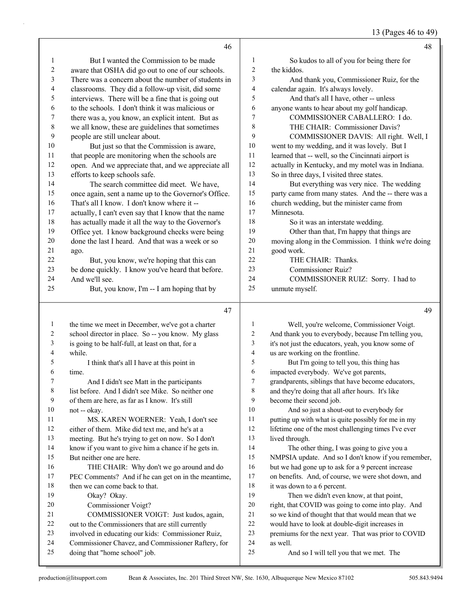13 (Pages 46 to 49)

|                | 46                                                                                                      |                          | 48                                                                                                |
|----------------|---------------------------------------------------------------------------------------------------------|--------------------------|---------------------------------------------------------------------------------------------------|
| 1              | But I wanted the Commission to be made                                                                  | 1                        | So kudos to all of you for being there for                                                        |
| $\overline{c}$ | aware that OSHA did go out to one of our schools.                                                       | $\sqrt{2}$               | the kiddos.                                                                                       |
| 3              | There was a concern about the number of students in                                                     | 3                        | And thank you, Commissioner Ruiz, for the                                                         |
| 4              | classrooms. They did a follow-up visit, did some                                                        | $\overline{\mathcal{A}}$ | calendar again. It's always lovely.                                                               |
| 5              | interviews. There will be a fine that is going out                                                      | 5                        | And that's all I have, other -- unless                                                            |
| 6              | to the schools. I don't think it was malicious or                                                       | 6                        | anyone wants to hear about my golf handicap.                                                      |
| 7              | there was a, you know, an explicit intent. But as                                                       | 7                        | COMMISSIONER CABALLERO: I do.                                                                     |
| $\,$ $\,$      | we all know, these are guidelines that sometimes                                                        | 8                        | THE CHAIR: Commissioner Davis?                                                                    |
| 9              | people are still unclear about.                                                                         | 9                        | COMMISSIONER DAVIS: All right. Well, I                                                            |
| 10             | But just so that the Commission is aware,                                                               | $10\,$                   | went to my wedding, and it was lovely. But I                                                      |
| 11             | that people are monitoring when the schools are                                                         | 11                       | learned that -- well, so the Cincinnati airport is                                                |
| 12             | open. And we appreciate that, and we appreciate all                                                     | 12                       | actually in Kentucky, and my motel was in Indiana.                                                |
| 13             | efforts to keep schools safe.                                                                           | 13                       | So in three days, I visited three states.                                                         |
| 14             | The search committee did meet. We have,                                                                 | 14                       | But everything was very nice. The wedding                                                         |
| 15             | once again, sent a name up to the Governor's Office.                                                    | 15                       | party came from many states. And the -- there was a                                               |
| 16             | That's all I know. I don't know where it --                                                             | 16                       | church wedding, but the minister came from                                                        |
| 17             | actually, I can't even say that I know that the name                                                    | 17                       | Minnesota.                                                                                        |
| 18             | has actually made it all the way to the Governor's                                                      | 18                       | So it was an interstate wedding.                                                                  |
| 19             | Office yet. I know background checks were being                                                         | 19                       | Other than that, I'm happy that things are                                                        |
| 20             | done the last I heard. And that was a week or so                                                        | $20\,$                   | moving along in the Commission. I think we're doing                                               |
| 21             | ago.                                                                                                    | 21                       | good work.                                                                                        |
| 22             | But, you know, we're hoping that this can                                                               | 22                       | THE CHAIR: Thanks.                                                                                |
| 23             | be done quickly. I know you've heard that before.                                                       | 23                       | <b>Commissioner Ruiz?</b>                                                                         |
| 24             | And we'll see.                                                                                          | 24                       | COMMISSIONER RUIZ: Sorry. I had to                                                                |
| 25             | But, you know, I'm -- I am hoping that by                                                               | 25                       | unmute myself.                                                                                    |
|                | 47                                                                                                      |                          |                                                                                                   |
|                |                                                                                                         |                          | 49                                                                                                |
| $\mathbf{1}$   |                                                                                                         | 1                        |                                                                                                   |
| 2              | the time we meet in December, we've got a charter<br>school director in place. So -- you know. My glass | 2                        | Well, you're welcome, Commissioner Voigt.<br>And thank you to everybody, because I'm telling you, |
| 3              | is going to be half-full, at least on that, for a                                                       | 3                        | it's not just the educators, yeah, you know some of                                               |
| 4              | while.                                                                                                  | 4                        | us are working on the frontline.                                                                  |
| 5              | I think that's all I have at this point in                                                              | 5                        | But I'm going to tell you, this thing has                                                         |
| 6              | time.                                                                                                   | 6                        | impacted everybody. We've got parents,                                                            |
| 7              | And I didn't see Matt in the participants                                                               | 7                        | grandparents, siblings that have become educators,                                                |
| 8              | list before. And I didn't see Mike. So neither one                                                      | 8                        | and they're doing that all after hours. It's like                                                 |
| 9              | of them are here, as far as I know. It's still                                                          | 9                        | become their second job.                                                                          |
| 10             | not -- okay.                                                                                            | 10                       | And so just a shout-out to everybody for                                                          |
| 11             | MS. KAREN WOERNER: Yeah, I don't see                                                                    | 11                       | putting up with what is quite possibly for me in my                                               |
| 12             | either of them. Mike did text me, and he's at a                                                         | 12                       | lifetime one of the most challenging times I've ever                                              |
| 13             | meeting. But he's trying to get on now. So I don't                                                      | 13                       | lived through.                                                                                    |
| 14             | know if you want to give him a chance if he gets in.                                                    | 14                       | The other thing, I was going to give you a                                                        |
| 15             | But neither one are here.                                                                               | 15                       | NMPSIA update. And so I don't know if you remember,                                               |
| 16             | THE CHAIR: Why don't we go around and do                                                                | 16                       | but we had gone up to ask for a 9 percent increase                                                |
| 17             | PEC Comments? And if he can get on in the meantime,                                                     | 17                       | on benefits. And, of course, we were shot down, and                                               |
| 18             | then we can come back to that.                                                                          | 18                       | it was down to a 6 percent.                                                                       |
| 19             | Okay? Okay.                                                                                             | 19                       | Then we didn't even know, at that point,                                                          |
| 20             | Commissioner Voigt?                                                                                     | 20                       | right, that COVID was going to come into play. And                                                |
| 21             | COMMISSIONER VOIGT: Just kudos, again,                                                                  | 21                       | so we kind of thought that that would mean that we                                                |
| 22             | out to the Commissioners that are still currently                                                       | 22                       | would have to look at double-digit increases in                                                   |
| 23             | involved in educating our kids: Commissioner Ruiz,                                                      | 23                       | premiums for the next year. That was prior to COVID                                               |
| 24<br>25       | Commissioner Chavez, and Commissioner Raftery, for<br>doing that "home school" job.                     | 24<br>25                 | as well.<br>And so I will tell you that we met. The                                               |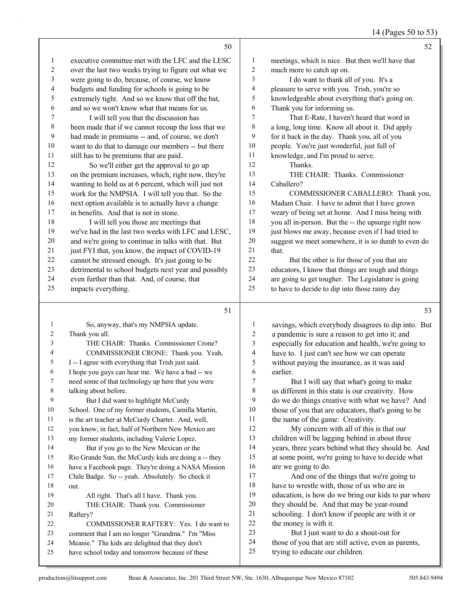| 14 (Pages 50 to 53) |
|---------------------|
|---------------------|

|              | 50                                                                                                         |                | 52                                                                                                      |
|--------------|------------------------------------------------------------------------------------------------------------|----------------|---------------------------------------------------------------------------------------------------------|
| $\mathbf{1}$ | executive committee met with the LFC and the LESC                                                          | $\mathbf{1}$   | meetings, which is nice. But then we'll have that                                                       |
| 2            | over the last two weeks trying to figure out what we                                                       | $\overline{c}$ | much more to catch up on.                                                                               |
| 3            | were going to do, because, of course, we know                                                              | 3              | I do want to thank all of you. It's a                                                                   |
| 4            | budgets and funding for schools is going to be                                                             | 4              | pleasure to serve with you. Trish, you're so                                                            |
| 5            | extremely tight. And so we know that off the bat,                                                          | 5              | knowledgeable about everything that's going on.                                                         |
| 6            | and so we won't know what that means for us.                                                               | 6              | Thank you for informing us.                                                                             |
| 7            | I will tell you that the discussion has                                                                    | 7              | That E-Rate, I haven't heard that word in                                                               |
| 8            | been made that if we cannot recoup the loss that we                                                        | $\,$ 8 $\,$    | a long, long time. Know all about it. Did apply                                                         |
| 9            | had made in premiums -- and, of course, we don't                                                           | 9              | for it back in the day. Thank you, all of you                                                           |
| 10           | want to do that to damage our members -- but there                                                         | 10             | people. You're just wonderful, just full of                                                             |
| 11           | still has to be premiums that are paid.                                                                    | 11             | knowledge, and I'm proud to serve.                                                                      |
| 12           | So we'll either get the approval to go up                                                                  | 12             | Thanks.                                                                                                 |
| 13           | on the premium increases, which, right now, they're                                                        | 13             | THE CHAIR: Thanks. Commissioner                                                                         |
| 14           | wanting to hold us at 6 percent, which will just not                                                       | 14             | Caballero?                                                                                              |
| 15           | work for the NMPSIA. I will tell you that. So the                                                          | 15             | COMMISSIONER CABALLERO: Thank you,                                                                      |
| 16           | next option available is to actually have a change                                                         | 16             | Madam Chair. I have to admit that I have grown                                                          |
| 17           | in benefits. And that is not in stone.                                                                     | 17             | weary of being set at home. And I miss being with                                                       |
| 18           | I will tell you those are meetings that                                                                    | 18             | you all in-person. But the -- the upsurge right now                                                     |
| 19           | we've had in the last two weeks with LFC and LESC,                                                         | 19             | just blows me away, because even if I had tried to                                                      |
| 20           | and we're going to continue in talks with that. But                                                        | $20\,$         | suggest we meet somewhere, it is so dumb to even do                                                     |
| 21           | just FYI that, you know, the impact of COVID-19                                                            | 21             | that.                                                                                                   |
| 22           | cannot be stressed enough. It's just going to be                                                           | 22             | But the other is for those of you that are                                                              |
| 23           | detrimental to school budgets next year and possibly                                                       | 23             | educators, I know that things are tough and things                                                      |
| 24           | even further than that. And, of course, that                                                               | 24             | are going to get tougher. The Legislature is going                                                      |
| 25           | impacts everything.                                                                                        | 25             | to have to decide to dip into those rainy day                                                           |
|              |                                                                                                            |                |                                                                                                         |
|              |                                                                                                            |                |                                                                                                         |
|              | 51                                                                                                         |                | 53                                                                                                      |
| 1            |                                                                                                            | 1              |                                                                                                         |
| 2            | So, anyway, that's my NMPSIA update.                                                                       | $\overline{c}$ | savings, which everybody disagrees to dip into. But                                                     |
| 3            | Thank you all.                                                                                             |                | a pandemic is sure a reason to get into it; and                                                         |
| 4            | THE CHAIR: Thanks. Commissioner Crone?                                                                     | 3<br>4         | especially for education and health, we're going to                                                     |
| 5            | COMMISSIONER CRONE: Thank you. Yeah,                                                                       | 5              | have to. I just can't see how we can operate                                                            |
| 6            | I -- I agree with everything that Trish just said.                                                         | 6              | without paying the insurance, as it was said<br>earlier.                                                |
| 7            | I hope you guys can hear me. We have a bad -- we<br>need some of that technology up here that you were     | 7              |                                                                                                         |
| 8            | talking about before.                                                                                      | 8              | But I will say that what's going to make<br>us different in this state is our creativity. How           |
| 9            | But I did want to highlight McCurdy                                                                        | 9              | do we do things creative with what we have? And                                                         |
| 10           | School. One of my former students, Camilla Martin,                                                         | 10             | those of you that are educators, that's going to be                                                     |
| 11           | is the art teacher at McCurdy Charter. And, well,                                                          | 11             | the name of the game: Creativity.                                                                       |
| 12           | you know, in fact, half of Northern New Mexico are                                                         | 12             | My concern with all of this is that our                                                                 |
| 13           | my former students, including Valerie Lopez.                                                               | 13             | children will be lagging behind in about three                                                          |
| 14           |                                                                                                            | 14             |                                                                                                         |
| 15           | But if you go to the New Mexican or the                                                                    | 15             | years, three years behind what they should be. And<br>at some point, we're going to have to decide what |
| 16           | Rio Grande Sun, the McCurdy kids are doing a -- they<br>have a Facebook page. They're doing a NASA Mission | 16             | are we going to do.                                                                                     |
| 17           | Chile Badge. So -- yeah. Absolutely. So check it                                                           | 17             | And one of the things that we're going to                                                               |
| 18           | out.                                                                                                       | 18             | have to wrestle with, those of us who are in                                                            |
| 19           | All right. That's all I have. Thank you.                                                                   | 19             | education, is how do we bring our kids to par where                                                     |
| 20           | THE CHAIR: Thank you. Commissioner                                                                         | 20             | they should be. And that may be year-round                                                              |
| 21           | Raftery?                                                                                                   | 21             | schooling. I don't know if people are with it or                                                        |
| 22           | COMMISSIONER RAFTERY: Yes. I do want to                                                                    | 22             | the money is with it.                                                                                   |
| 23           | comment that I am no longer "Grandma." I'm "Miss                                                           | 23             | But I just want to do a shout-out for                                                                   |
| 24           | Meanie." The kids are delighted that they don't                                                            | 24<br>25       | those of you that are still active, even as parents,                                                    |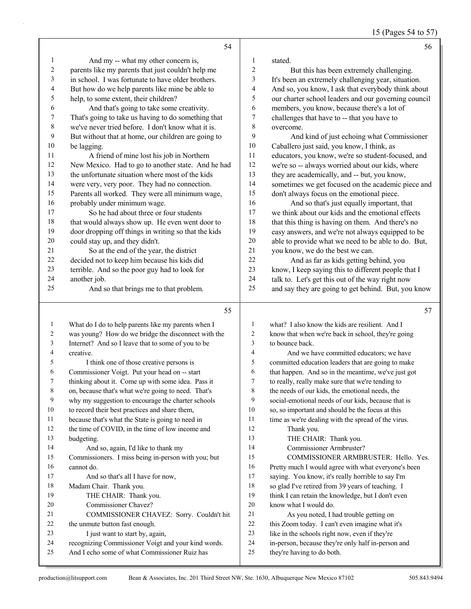15 (Pages 54 to 57)

|                  | 54                                                                                                   |                     | 56                                                                                                       |
|------------------|------------------------------------------------------------------------------------------------------|---------------------|----------------------------------------------------------------------------------------------------------|
| $\mathbf{1}$     | And my -- what my other concern is,                                                                  | 1                   | stated.                                                                                                  |
| $\boldsymbol{2}$ | parents like my parents that just couldn't help me                                                   | $\overline{c}$      | But this has been extremely challenging.                                                                 |
| 3                | in school. I was fortunate to have older brothers.                                                   | 3                   | It's been an extremely challenging year, situation.                                                      |
| 4                | But how do we help parents like mine be able to                                                      | 4                   | And so, you know, I ask that everybody think about                                                       |
| 5                | help, to some extent, their children?                                                                | 5                   | our charter school leaders and our governing council                                                     |
| 6                | And that's going to take some creativity.                                                            | 6                   | members, you know, because there's a lot of                                                              |
| 7                | That's going to take us having to do something that                                                  | 7                   | challenges that have to -- that you have to                                                              |
| 8                | we've never tried before. I don't know what it is.                                                   | 8                   | overcome.                                                                                                |
| 9                | But without that at home, our children are going to                                                  | 9                   | And kind of just echoing what Commissioner                                                               |
| 10               | be lagging.                                                                                          | 10                  | Caballero just said, you know, I think, as                                                               |
| 11               | A friend of mine lost his job in Northern                                                            | 11                  | educators, you know, we're so student-focused, and                                                       |
| 12               | New Mexico. Had to go to another state. And he had                                                   | 12                  | we're so -- always worried about our kids, where                                                         |
| 13               | the unfortunate situation where most of the kids                                                     | 13                  | they are academically, and -- but, you know,                                                             |
| 14               | were very, very poor. They had no connection.                                                        | 14                  | sometimes we get focused on the academic piece and                                                       |
| 15               | Parents all worked. They were all minimum wage,                                                      | 15                  | don't always focus on the emotional piece.                                                               |
| 16               | probably under minimum wage.                                                                         | 16                  | And so that's just equally important, that                                                               |
| 17               | So he had about three or four students                                                               | 17                  | we think about our kids and the emotional effects                                                        |
| 18               | that would always show up. He even went door to                                                      | 18                  | that this thing is having on them. And there's no                                                        |
| 19               | door dropping off things in writing so that the kids                                                 | 19                  | easy answers, and we're not always equipped to be                                                        |
| 20               | could stay up, and they didn't.                                                                      | 20                  | able to provide what we need to be able to do. But,                                                      |
| 21               | So at the end of the year, the district                                                              | 21                  | you know, we do the best we can.                                                                         |
| 22               | decided not to keep him because his kids did                                                         | 22                  | And as far as kids getting behind, you                                                                   |
| 23               | terrible. And so the poor guy had to look for                                                        | 23                  | know, I keep saying this to different people that I                                                      |
| 24               | another job.                                                                                         | 24                  | talk to. Let's get this out of the way right now                                                         |
| 25               | And so that brings me to that problem.                                                               | 25                  | and say they are going to get behind. But, you know                                                      |
|                  |                                                                                                      |                     |                                                                                                          |
|                  |                                                                                                      |                     |                                                                                                          |
|                  | 55                                                                                                   |                     | 57                                                                                                       |
| 1                | What do I do to help parents like my parents when I                                                  | 1                   | what? I also know the kids are resilient. And I                                                          |
| 2                | was young? How do we bridge the disconnect with the                                                  | $\overline{c}$      | know that when we're back in school, they're going                                                       |
| 3<br>4           | Internet? And so I leave that to some of you to be<br>creative.                                      | 3<br>$\overline{4}$ | to bounce back.                                                                                          |
| 5                |                                                                                                      | $\mathfrak s$       | And we have committed educators; we have                                                                 |
| 6                | I think one of those creative persons is                                                             | 6                   | committed education leaders that are going to make                                                       |
| 7                | Commissioner Voigt. Put your head on -- start<br>thinking about it. Come up with some idea. Pass it  | 7                   | that happen. And so in the meantime, we've just got<br>to really, really make sure that we're tending to |
| 8                | on, because that's what we're going to need. That's                                                  | 8                   | the needs of our kids, the emotional needs, the                                                          |
| 9                | why my suggestion to encourage the charter schools                                                   | 9                   | social-emotional needs of our kids, because that is                                                      |
| 10               | to record their best practices and share them,                                                       | 10                  | so, so important and should be the focus at this                                                         |
| 11               | because that's what the State is going to need in                                                    | 11                  | time as we're dealing with the spread of the virus.                                                      |
| 12               | the time of COVID, in the time of low income and                                                     | 12                  | Thank you.                                                                                               |
| 13               | budgeting.                                                                                           | 13                  | THE CHAIR: Thank you.                                                                                    |
| 14               | And so, again, I'd like to thank my                                                                  | 14                  | Commissioner Armbruster?                                                                                 |
| 15               | Commissioners. I miss being in-person with you; but                                                  | 15                  | COMMISSIONER ARMBRUSTER: Hello. Yes.                                                                     |
| 16               | cannot do.                                                                                           | 16                  | Pretty much I would agree with what everyone's been                                                      |
| 17               | And so that's all I have for now,                                                                    | 17                  | saying. You know, it's really horrible to say I'm                                                        |
| 18               | Madam Chair. Thank you.                                                                              | 18                  | so glad I've retired from 39 years of teaching. I                                                        |
| 19               | THE CHAIR: Thank you.                                                                                | 19                  | think I can retain the knowledge, but I don't even                                                       |
| 20               | Commissioner Chavez?                                                                                 | $20\,$              | know what I would do.                                                                                    |
| 21               | COMMISSIONER CHAVEZ: Sorry. Couldn't hit                                                             | 21                  | As you noted, I had trouble getting on                                                                   |
| 22               | the unmute button fast enough.                                                                       | 22                  | this Zoom today. I can't even imagine what it's                                                          |
| 23               | I just want to start by, again,                                                                      | 23                  | like in the schools right now, even if they're                                                           |
| 24<br>25         | recognizing Commissioner Voigt and your kind words.<br>And I echo some of what Commissioner Ruiz has | 24<br>25            | in-person, because they're only half in-person and<br>they're having to do both.                         |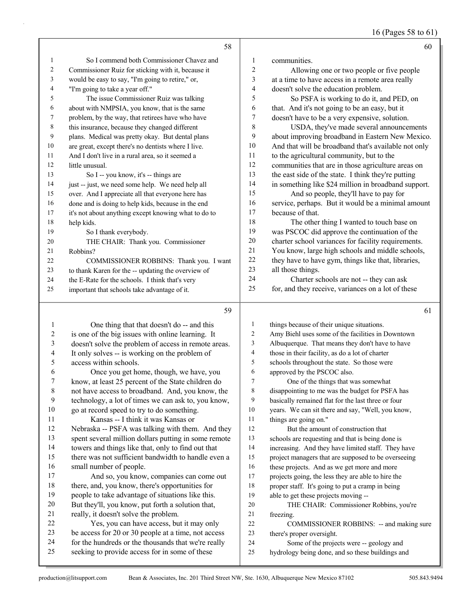|    | 58                                                   |                | 60                                                   |
|----|------------------------------------------------------|----------------|------------------------------------------------------|
| 1  | So I commend both Commissioner Chavez and            | 1              | communities.                                         |
| 2  | Commissioner Ruiz for sticking with it, because it   | $\overline{c}$ | Allowing one or two people or five people            |
| 3  | would be easy to say, "I'm going to retire," or,     | 3              | at a time to have access in a remote area really     |
| 4  | "I'm going to take a year off."                      | 4              | doesn't solve the education problem.                 |
| 5  | The issue Commissioner Ruiz was talking              | 5              | So PSFA is working to do it, and PED, on             |
| 6  | about with NMPSIA, you know, that is the same        | 6              | that. And it's not going to be an easy, but it       |
| 7  | problem, by the way, that retirees have who have     | 7              | doesn't have to be a very expensive, solution.       |
| 8  | this insurance, because they changed different       | 8              | USDA, they've made several announcements             |
| 9  | plans. Medical was pretty okay. But dental plans     | 9              | about improving broadband in Eastern New Mexico.     |
| 10 | are great, except there's no dentists where I live.  | 10             | And that will be broadband that's available not only |
| 11 | And I don't live in a rural area, so it seemed a     | 11             | to the agricultural community, but to the            |
| 12 | little unusual.                                      | 12             | communities that are in those agriculture areas on   |
| 13 | So I -- you know, it's -- things are                 | 13             | the east side of the state. I think they're putting  |
| 14 | just -- just, we need some help. We need help all    | 14             | in something like \$24 million in broadband support. |
| 15 | over. And I appreciate all that everyone here has    | 15             | And so people, they'll have to pay for               |
| 16 | done and is doing to help kids, because in the end   | 16             | service, perhaps. But it would be a minimal amount   |
| 17 | it's not about anything except knowing what to do to | 17             | because of that.                                     |
| 18 | help kids.                                           | 18             | The other thing I wanted to touch base on            |
| 19 | So I thank everybody.                                | 19             | was PSCOC did approve the continuation of the        |
| 20 | THE CHAIR: Thank you. Commissioner                   | 20             | charter school variances for facility requirements.  |
| 21 | Robbins?                                             | 21             | You know, large high schools and middle schools,     |
| 22 | COMMISSIONER ROBBINS: Thank you. I want              | 22             | they have to have gym, things like that, libraries,  |
| 23 | to thank Karen for the -- updating the overview of   | 23             | all those things.                                    |
| 24 | the E-Rate for the schools. I think that's very      | 24             | Charter schools are not -- they can ask              |
| 25 | important that schools take advantage of it.         | 25             | for, and they receive, variances on a lot of these   |
|    | 59                                                   |                | 61                                                   |
| 1  | One thing that that doesn't do -- and this           | 1              | things because of their unique situations.           |
| 2  | is one of the big issues with online learning. It    | $\overline{2}$ | Amy Biehl uses some of the facilities in Downtown    |

| 2  | is one of the big issues with online learning. It    | 2  | Amy Biehl uses some of the facilities in Downtown   |
|----|------------------------------------------------------|----|-----------------------------------------------------|
| 3  | doesn't solve the problem of access in remote areas. | 3  | Albuquerque. That means they don't have to have     |
| 4  | It only solves -- is working on the problem of       | 4  | those in their facility, as do a lot of charter     |
| 5  | access within schools.                               | 5  | schools throughout the state. So those were         |
| 6  | Once you get home, though, we have, you              | 6  | approved by the PSCOC also.                         |
| 7  | know, at least 25 percent of the State children do   | 7  | One of the things that was somewhat                 |
| 8  | not have access to broadband. And, you know, the     | 8  | disappointing to me was the budget for PSFA has     |
| 9  | technology, a lot of times we can ask to, you know,  | 9  | basically remained flat for the last three or four  |
| 10 | go at record speed to try to do something.           | 10 | years. We can sit there and say, "Well, you know,   |
| 11 | Kansas -- I think it was Kansas or                   | 11 | things are going on."                               |
| 12 | Nebraska -- PSFA was talking with them. And they     | 12 | But the amount of construction that                 |
| 13 | spent several million dollars putting in some remote | 13 | schools are requesting and that is being done is    |
| 14 | towers and things like that, only to find out that   | 14 | increasing. And they have limited staff. They have  |
| 15 | there was not sufficient bandwidth to handle even a  | 15 | project managers that are supposed to be overseeing |
| 16 | small number of people.                              | 16 | these projects. And as we get more and more         |
| 17 | And so, you know, companies can come out             | 17 | projects going, the less they are able to hire the  |
| 18 | there, and, you know, there's opportunities for      | 18 | proper staff. It's going to put a cramp in being    |
| 19 | people to take advantage of situations like this.    | 19 | able to get these projects moving --                |
| 20 | But they'll, you know, put forth a solution that,    | 20 | THE CHAIR: Commissioner Robbins, you're             |
| 21 | really, it doesn't solve the problem.                | 21 | freezing.                                           |
| 22 | Yes, you can have access, but it may only            | 22 | COMMISSIONER ROBBINS: -- and making sure            |
| 23 | be access for 20 or 30 people at a time, not access  | 23 | there's proper oversight.                           |
| 24 | for the hundreds or the thousands that we're really  | 24 | Some of the projects were -- geology and            |
| 25 | seeking to provide access for in some of these       | 25 | hydrology being done, and so these buildings and    |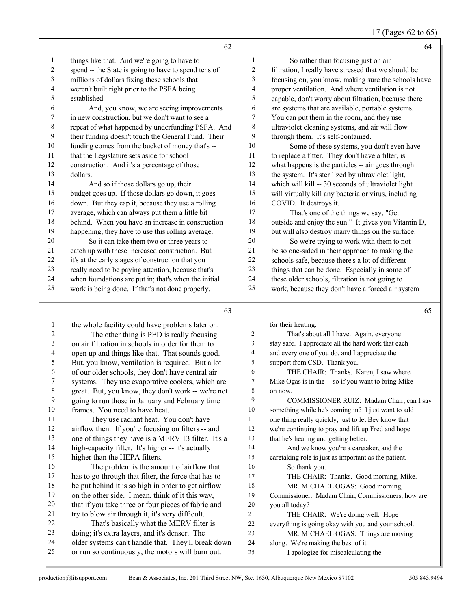17 (Pages 62 to 65)

|    | 62                                                   |                | 64                                                   |
|----|------------------------------------------------------|----------------|------------------------------------------------------|
| 1  | things like that. And we're going to have to         | 1              | So rather than focusing just on air                  |
| 2  | spend -- the State is going to have to spend tens of | 2              | filtration, I really have stressed that we should be |
| 3  | millions of dollars fixing these schools that        | 3              | focusing on, you know, making sure the schools have  |
| 4  | weren't built right prior to the PSFA being          | $\overline{4}$ | proper ventilation. And where ventilation is not     |
| 5  | established.                                         | 5              | capable, don't worry about filtration, because there |
| 6  | And, you know, we are seeing improvements            | 6              | are systems that are available, portable systems.    |
| 7  | in new construction, but we don't want to see a      | 7              | You can put them in the room, and they use           |
| 8  | repeat of what happened by underfunding PSFA. And    | 8              | ultraviolet cleaning systems, and air will flow      |
| 9  | their funding doesn't touch the General Fund. Their  | 9              | through them. It's self-contained.                   |
| 10 | funding comes from the bucket of money that's --     | 10             | Some of these systems, you don't even have           |
| 11 | that the Legislature sets aside for school           | 11             | to replace a fitter. They don't have a filter, is    |
| 12 | construction. And it's a percentage of those         | 12             | what happens is the particles -- air goes through    |
| 13 | dollars.                                             | 13             | the system. It's sterilized by ultraviolet light,    |
| 14 | And so if those dollars go up, their                 | 14             | which will kill -- 30 seconds of ultraviolet light   |
| 15 | budget goes up. If those dollars go down, it goes    | 15             | will virtually kill any bacteria or virus, including |
| 16 | down. But they cap it, because they use a rolling    | 16             | COVID. It destroys it.                               |
| 17 | average, which can always put them a little bit      | 17             | That's one of the things we say, "Get                |
| 18 | behind. When you have an increase in construction    | 18             | outside and enjoy the sun." It gives you Vitamin D,  |
| 19 | happening, they have to use this rolling average.    | 19             | but will also destroy many things on the surface.    |
| 20 | So it can take them two or three years to            | 20             | So we're trying to work with them to not             |
| 21 | catch up with these increased construction. But      | 21             | be so one-sided in their approach to making the      |
| 22 | it's at the early stages of construction that you    | 22             | schools safe, because there's a lot of different     |
| 23 | really need to be paying attention, because that's   | 23             | things that can be done. Especially in some of       |
| 24 | when foundations are put in; that's when the initial | 24             | these older schools, filtration is not going to      |
| 25 | work is being done. If that's not done properly,     | 25             | work, because they don't have a forced air system    |

 the whole facility could have problems later on. 2 The other thing is PED is really focusing on air filtration in schools in order for them to open up and things like that. That sounds good. But, you know, ventilation is required. But a lot of our older schools, they don't have central air systems. They use evaporative coolers, which are great. But, you know, they don't work -- we're not going to run those in January and February time frames. You need to have heat. 11 They use radiant heat. You don't have airflow then. If you're focusing on filters -- and one of things they have is a MERV 13 filter. It's a high-capacity filter. It's higher -- it's actually higher than the HEPA filters. 16 The problem is the amount of airflow that has to go through that filter, the force that has to be put behind it is so high in order to get airflow on the other side. I mean, think of it this way, that if you take three or four pieces of fabric and try to blow air through it, it's very difficult. 22 That's basically what the MERV filter is doing; it's extra layers, and it's denser. The older systems can't handle that. They'll break down or run so continuously, the motors will burn out. for their heating. 2 That's about all I have. Again, everyone stay safe. I appreciate all the hard work that each and every one of you do, and I appreciate the support from CSD. Thank you. 6 THE CHAIR: Thanks. Karen, I saw where Mike Ogas is in the -- so if you want to bring Mike on now. 9 COMMISSIONER RUIZ: Madam Chair, can I say something while he's coming in? I just want to add one thing really quickly, just to let Bev know that we're continuing to pray and lift up Fred and hope that he's healing and getting better. 14 And we know you're a caretaker, and the caretaking role is just as important as the patient. 16 So thank you. 17 THE CHAIR: Thanks. Good morning, Mike. 18 MR. MICHAEL OGAS: Good morning, Commissioner. Madam Chair, Commissioners, how are you all today? 21 THE CHAIR: We're doing well. Hope everything is going okay with you and your school. 23 MR. MICHAEL OGAS: Things are moving along. We're making the best of it. 25 I apologize for miscalculating the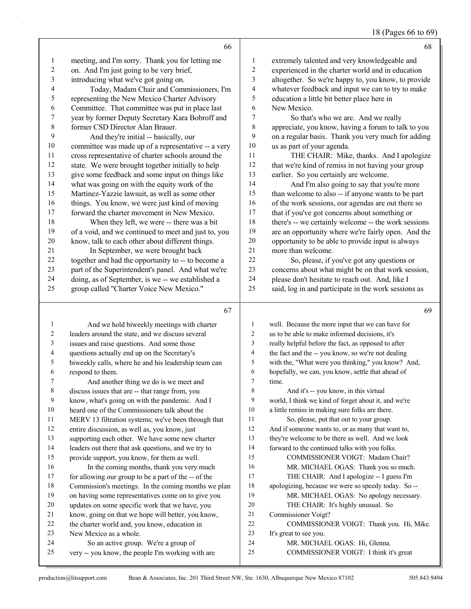### 18 (Pages 66 to 69)

|              | 66                                                                                        |                | 68                                                                      |
|--------------|-------------------------------------------------------------------------------------------|----------------|-------------------------------------------------------------------------|
| $\mathbf{1}$ | meeting, and I'm sorry. Thank you for letting me                                          | 1              | extremely talented and very knowledgeable and                           |
| 2            | on. And I'm just going to be very brief,                                                  | 2              | experienced in the charter world and in education                       |
| 3            | introducing what we've got going on.                                                      | 3              | altogether. So we're happy to, you know, to provide                     |
| 4            | Today, Madam Chair and Commissioners, I'm                                                 | $\overline{4}$ | whatever feedback and input we can to try to make                       |
| 5            | representing the New Mexico Charter Advisory                                              | 5              | education a little bit better place here in                             |
| 6            | Committee. That committee was put in place last                                           | 6              | New Mexico.                                                             |
| 7            | year by former Deputy Secretary Kara Bobroff and                                          | 7              | So that's who we are. And we really                                     |
| 8            | former CSD Director Alan Brauer.                                                          | $\,$ $\,$      | appreciate, you know, having a forum to talk to you                     |
| 9            | And they're initial -- basically, our                                                     | 9              | on a regular basis. Thank you very much for adding                      |
| 10           | committee was made up of a representative -- a very                                       | 10             | us as part of your agenda.                                              |
| 11           | cross representative of charter schools around the                                        | 11             | THE CHAIR: Mike, thanks. And I apologize                                |
| 12           | state. We were brought together initially to help                                         | 12             | that we're kind of remiss in not having your group                      |
| 13           | give some feedback and some input on things like                                          | 13             | earlier. So you certainly are welcome.                                  |
| 14           | what was going on with the equity work of the                                             | 14             | And I'm also going to say that you're more                              |
| 15           | Martinez-Yazzie lawsuit, as well as some other                                            | 15             | than welcome to also -- if anyone wants to be part                      |
| 16           | things. You know, we were just kind of moving                                             | 16             | of the work sessions, our agendas are out there so                      |
| 17           | forward the charter movement in New Mexico.                                               | 17             | that if you've got concerns about something or                          |
| 18           | When they left, we were -- there was a bit                                                | $18\,$         | there's -- we certainly welcome -- the work sessions                    |
| 19           | of a void, and we continued to meet and just to, you                                      | 19             | are an opportunity where we're fairly open. And the                     |
| 20           | know, talk to each other about different things.                                          | 20             | opportunity to be able to provide input is always                       |
| 21           | In September, we were brought back                                                        | 21             | more than welcome.                                                      |
| 22           | together and had the opportunity to -- to become a                                        | 22             | So, please, if you've got any questions or                              |
| 23           | part of the Superintendent's panel. And what we're                                        | 23             | concerns about what might be on that work session,                      |
| 24           | doing, as of September, is we -- we established a                                         | 24             | please don't hesitate to reach out. And, like I                         |
| 25           | group called "Charter Voice New Mexico."                                                  | 25             | said, log in and participate in the work sessions as                    |
|              | 67                                                                                        |                | 69                                                                      |
| 1            | And we hold biweekly meetings with charter                                                | 1              | well. Because the more input that we can have for                       |
| 2            | leaders around the state, and we discuss several                                          | 2              | us to be able to make informed decisions, it's                          |
| 3            | issues and raise questions. And some those                                                | 3              | really helpful before the fact, as opposed to after                     |
| 4            | questions actually end up on the Secretary's                                              | 4              | the fact and the -- you know, so we're not dealing                      |
| 5            | biweekly calls, where he and his leadership team can                                      | 5              | with the, "What were you thinking," you know? And,                      |
| 6            | respond to them.                                                                          | 6              | hopefully, we can, you know, settle that ahead of                       |
| 7            | And another thing we do is we meet and                                                    | 7              | time.                                                                   |
| 8            | discuss issues that are -- that range from, you                                           | 8              | And it's -- you know, in this virtual                                   |
| 9            | know, what's going on with the pandemic. And I                                            | 9              | world, I think we kind of forget about it, and we're                    |
| 10           | heard one of the Commissioners talk about the                                             | 10             | a little remiss in making sure folks are there.                         |
| 11           | MERV 13 filtration systems; we've been through that                                       | 11             | So, please, put that out to your group.                                 |
| 12           | entire discussion, as well as, you know, just                                             | 12             |                                                                         |
| 13           |                                                                                           |                | And if someone wants to, or as many that want to,                       |
| 14           | supporting each other. We have some new charter                                           | 13             | they're welcome to be there as well. And we look                        |
|              | leaders out there that ask questions, and we try to                                       | 14             | forward to the continued talks with you folks.                          |
| 15           | provide support, you know, for them as well.                                              | 15             | COMMISSIONER VOIGT: Madam Chair?                                        |
| 16           | In the coming months, thank you very much                                                 | 16             | MR. MICHAEL OGAS: Thank you so much.                                    |
| 17           | for allowing our group to be a part of the -- of the                                      | 17             | THE CHAIR: And I apologize -- I guess I'm                               |
| 18           | Commission's meetings. In the coming months we plan                                       | 18             | apologizing, because we were so speedy today. So --                     |
| 19           | on having some representatives come on to give you                                        | 19             | MR. MICHAEL OGAS: No apology necessary.                                 |
| 20           | updates on some specific work that we have, you                                           | 20             | THE CHAIR: It's highly unusual. So                                      |
| 21           | know, going on that we hope will better, you know,                                        | 21             | Commissioner Voigt?                                                     |
| 22           | the charter world and, you know, education in                                             | 22             | COMMISSIONER VOIGT: Thank you. Hi, Mike.                                |
| 23           | New Mexico as a whole.                                                                    | 23             | It's great to see you.                                                  |
| 24<br>25     | So an active group. We're a group of<br>very -- you know, the people I'm working with are | 24<br>25       | MR. MICHAEL OGAS: Hi, Glenna.<br>COMMISSIONER VOIGT: I think it's great |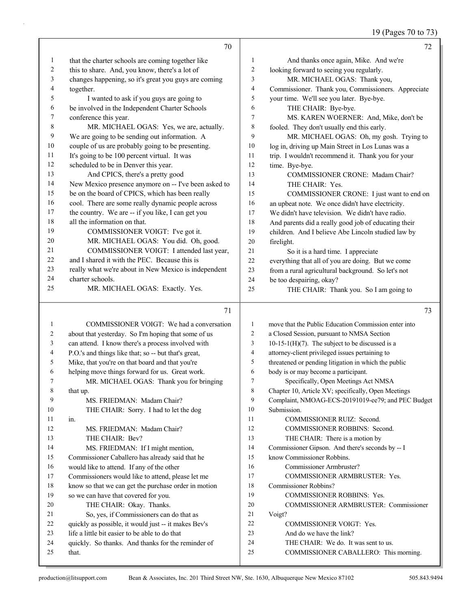19 (Pages 70 to 73)

|              | 70                                                          |                | 72                                                                            |
|--------------|-------------------------------------------------------------|----------------|-------------------------------------------------------------------------------|
| $\mathbf{1}$ | that the charter schools are coming together like           | 1              | And thanks once again, Mike. And we're                                        |
| 2            | this to share. And, you know, there's a lot of              | 2              | looking forward to seeing you regularly.                                      |
| 3            | changes happening, so it's great you guys are coming        | 3              | MR. MICHAEL OGAS: Thank you,                                                  |
| 4            | together.                                                   | 4              | Commissioner. Thank you, Commissioners. Appreciate                            |
| 5            | I wanted to ask if you guys are going to                    | 5              | your time. We'll see you later. Bye-bye.                                      |
| 6            | be involved in the Independent Charter Schools              | 6              | THE CHAIR: Bye-bye.                                                           |
| 7            | conference this year.                                       | 7              | MS. KAREN WOERNER: And, Mike, don't be                                        |
| 8            | MR. MICHAEL OGAS: Yes, we are, actually.                    | 8              | fooled. They don't usually end this early.                                    |
| 9            | We are going to be sending out information. A               | 9              | MR. MICHAEL OGAS: Oh, my gosh. Trying to                                      |
| 10           | couple of us are probably going to be presenting.           | 10             | log in, driving up Main Street in Los Lunas was a                             |
| 11           | It's going to be 100 percent virtual. It was                | 11             | trip. I wouldn't recommend it. Thank you for your                             |
| 12           | scheduled to be in Denver this year.                        | 12             | time. Bye-bye.                                                                |
| 13           | And CPICS, there's a pretty good                            | 13             | COMMISSIONER CRONE: Madam Chair?                                              |
| 14           | New Mexico presence anymore on -- I've been asked to        | 14             | THE CHAIR: Yes.                                                               |
| 15           | be on the board of CPICS, which has been really             | 15             | COMMISSIONER CRONE: I just want to end on                                     |
| 16           | cool. There are some really dynamic people across           | 16             | an upbeat note. We once didn't have electricity.                              |
| 17           | the country. We are -- if you like, I can get you           | 17             | We didn't have television. We didn't have radio.                              |
| 18           | all the information on that.                                | 18             | And parents did a really good job of educating their                          |
| 19           | COMMISSIONER VOIGT: I've got it.                            | 19             | children. And I believe Abe Lincoln studied law by                            |
| 20           | MR. MICHAEL OGAS: You did. Oh, good.                        | 20             | firelight.                                                                    |
| 21           | COMMISSIONER VOIGT: I attended last year,                   | 21             | So it is a hard time. I appreciate                                            |
| 22           | and I shared it with the PEC. Because this is               | $22\,$         | everything that all of you are doing. But we come                             |
| 23           | really what we're about in New Mexico is independent        | 23             | from a rural agricultural background. So let's not                            |
| 24           | charter schools.                                            | 24             | be too despairing, okay?                                                      |
| 25           | MR. MICHAEL OGAS: Exactly. Yes.                             | 25             | THE CHAIR: Thank you. So I am going to                                        |
|              | 71                                                          |                | 73                                                                            |
| 1            | COMMISSIONER VOIGT: We had a conversation                   | 1              | move that the Public Education Commission enter into                          |
| 2            | about that yesterday. So I'm hoping that some of us         | $\overline{c}$ | a Closed Session, pursuant to NMSA Section                                    |
| 3            | can attend. I know there's a process involved with          | 3              | 10-15-1(H)(7). The subject to be discussed is a                               |
| 4            | P.O.'s and things like that; so -- but that's great,        | 4              | attorney-client privileged issues pertaining to                               |
| 5            | Mike, that you're on that board and that you're             | 5              | threatened or pending litigation in which the public                          |
| 6            | helping move things forward for us. Great work.             | 6              | body is or may become a participant.                                          |
| 7            | MR. MICHAEL OGAS: Thank you for bringing                    | 7              | Specifically, Open Meetings Act NMSA                                          |
| 8            | that up.                                                    | 8              | Chapter 10, Article XV; specifically, Open Meetings                           |
| 9            | MS. FRIEDMAN: Madam Chair?                                  | 9              | Complaint, NMOAG-ECS-20191019-ee79; and PEC Budget                            |
| 10           | THE CHAIR: Sorry. I had to let the dog                      | 10             | Submission.                                                                   |
| 11           | in.                                                         | 11             | COMMISSIONER RUIZ: Second.                                                    |
| 12           | MS. FRIEDMAN: Madam Chair?                                  | 12             | COMMISSIONER ROBBINS: Second.                                                 |
| 13           | THE CHAIR: Bev?                                             | 13             | THE CHAIR: There is a motion by                                               |
| 14           | MS. FRIEDMAN: If I might mention,                           | 14             | Commissioner Gipson. And there's seconds by -- I                              |
| 15           | Commissioner Caballero has already said that he             | 15             | know Commissioner Robbins.                                                    |
| 16           | would like to attend. If any of the other                   | 16             | Commissioner Armbruster?                                                      |
| 17           | Commissioners would like to attend, please let me           | 17             | COMMISSIONER ARMBRUSTER: Yes.                                                 |
| 18           | know so that we can get the purchase order in motion        | 18             | Commissioner Robbins?                                                         |
| 19           | so we can have that covered for you.                        | 19             | COMMISSIONER ROBBINS: Yes.                                                    |
| 20           | THE CHAIR: Okay. Thanks.                                    | 20             | COMMISSIONER ARMBRUSTER: Commissioner                                         |
| 21           | So, yes, if Commissioners can do that as                    | 21             | Voigt?                                                                        |
| 22           | quickly as possible, it would just -- it makes Bev's        | 22<br>23       | <b>COMMISSIONER VOIGT: Yes.</b>                                               |
| 23           | life a little bit easier to be able to do that              |                | And do we have the link?                                                      |
|              |                                                             |                |                                                                               |
| 24<br>25     | quickly. So thanks. And thanks for the reminder of<br>that. | 24<br>25       | THE CHAIR: We do. It was sent to us.<br>COMMISSIONER CABALLERO: This morning. |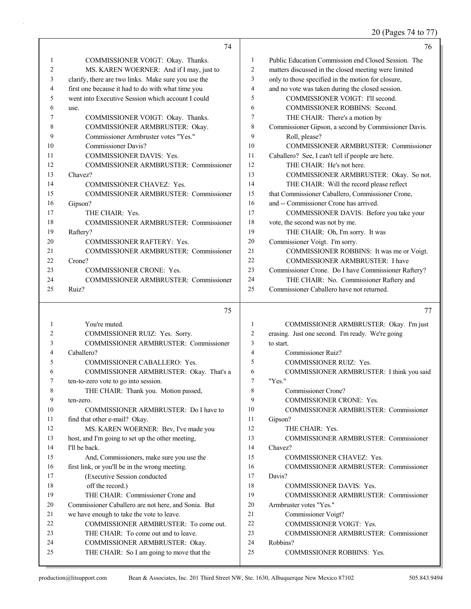20 (Pages 74 to 77)

|    | 74                                                  |                | 76                                                   |
|----|-----------------------------------------------------|----------------|------------------------------------------------------|
| 1  | COMMISSIONER VOIGT: Okay. Thanks.                   | 1              | Public Education Commission end Closed Session. The  |
| 2  | MS. KAREN WOERNER: And if I may, just to            | $\overline{2}$ | matters discussed in the closed meeting were limited |
| 3  | clarify, there are two links. Make sure you use the | 3              | only to those specified in the motion for closure,   |
| 4  | first one because it had to do with what time you   | $\overline{4}$ | and no vote was taken during the closed session.     |
| 5  | went into Executive Session which account I could   | 5              | COMMISSIONER VOIGT: I'll second.                     |
| 6  | use.                                                | 6              | <b>COMMISSIONER ROBBINS: Second.</b>                 |
| 7  | COMMISSIONER VOIGT: Okay. Thanks.                   | 7              | THE CHAIR: There's a motion by                       |
| 8  | COMMISSIONER ARMBRUSTER: Okay.                      | 8              | Commissioner Gipson, a second by Commissioner Davis. |
| 9  | Commissioner Armbruster votes "Yes."                | 9              | Roll, please?                                        |
| 10 | <b>Commissioner Davis?</b>                          | 10             | COMMISSIONER ARMBRUSTER: Commissioner                |
| 11 | <b>COMMISSIONER DAVIS: Yes.</b>                     | 11             | Caballero? See, I can't tell if people are here.     |
| 12 | <b>COMMISSIONER ARMBRUSTER: Commissioner</b>        | 12             | THE CHAIR: He's not here.                            |
| 13 | Chavez?                                             | 13             | COMMISSIONER ARMBRUSTER: Okay. So not.               |
| 14 | <b>COMMISSIONER CHAVEZ: Yes.</b>                    | 14             | THE CHAIR: Will the record please reflect            |
| 15 | <b>COMMISSIONER ARMBRUSTER: Commissioner</b>        | 15             | that Commissioner Caballero, Commissioner Crone,     |
| 16 | Gipson?                                             | 16             | and -- Commissioner Crone has arrived.               |
| 17 | THE CHAIR: Yes.                                     | 17             | COMMISSIONER DAVIS: Before you take your             |
| 18 | COMMISSIONER ARMBRUSTER: Commissioner               | 18             | vote, the second was not by me.                      |
| 19 | Raftery?                                            | 19             | THE CHAIR: Oh, I'm sorry. It was                     |
| 20 | <b>COMMISSIONER RAFTERY: Yes.</b>                   | 20             | Commissioner Voigt. I'm sorry.                       |
| 21 | <b>COMMISSIONER ARMBRUSTER: Commissioner</b>        | 21             | COMMISSIONER ROBBINS: It was me or Voigt.            |
| 22 | Crone?                                              | 22             | <b>COMMISSIONER ARMBRUSTER: I have</b>               |
| 23 | <b>COMMISSIONER CRONE: Yes.</b>                     | 23             | Commissioner Crone. Do I have Commissioner Raftery?  |
| 24 | <b>COMMISSIONER ARMBRUSTER: Commissioner</b>        | 24             | THE CHAIR: No. Commissioner Raftery and              |
| 25 | Ruiz?                                               | 25             | Commissioner Caballero have not returned.            |
|    | 75                                                  |                | 77                                                   |

|    | 75                                                  |     | 77                                               |
|----|-----------------------------------------------------|-----|--------------------------------------------------|
| 1  | You're muted.                                       | 1   | COMMISSIONER ARMBRUSTER: Okay. I'm just          |
| 2  | COMMISSIONER RUIZ: Yes. Sorry.                      | 2   | erasing. Just one second. I'm ready. We're going |
| 3  | <b>COMMISSIONER ARMBRUSTER: Commissioner</b>        | 3   | to start.                                        |
| 4  | Caballero?                                          | 4   | Commissioner Ruiz?                               |
| 5  | COMMISSIONER CABALLERO: Yes.                        | 5   | <b>COMMISSIONER RUIZ: Yes.</b>                   |
| 6  | COMMISSIONER ARMBRUSTER: Okay. That's a             | 6   | COMMISSIONER ARMBRUSTER: I think you said        |
| 7  | ten-to-zero vote to go into session.                | 7   | "Yes."                                           |
| 8  | THE CHAIR: Thank you. Motion passed,                | 8   | Commissioner Crone?                              |
| 9  | ten-zero.                                           | 9   | <b>COMMISSIONER CRONE: Yes.</b>                  |
| 10 | COMMISSIONER ARMBRUSTER: Do I have to               | 10  | <b>COMMISSIONER ARMBRUSTER: Commissioner</b>     |
| 11 | find that other e-mail? Okay.                       | 11  | Gipson?                                          |
| 12 | MS. KAREN WOERNER: Bev, I've made you               | 12  | THE CHAIR: Yes.                                  |
| 13 | host, and I'm going to set up the other meeting,    | 13  | <b>COMMISSIONER ARMBRUSTER: Commissioner</b>     |
| 14 | I'll be back.                                       | 14  | Chavez?                                          |
| 15 | And, Commissioners, make sure you use the           | 15  | <b>COMMISSIONER CHAVEZ: Yes.</b>                 |
| 16 | first link, or you'll be in the wrong meeting.      | 16  | <b>COMMISSIONER ARMBRUSTER: Commissioner</b>     |
| 17 | (Executive Session conducted                        | 17  | Davis?                                           |
| 18 | off the record.)                                    | 18  | <b>COMMISSIONER DAVIS: Yes.</b>                  |
| 19 | THE CHAIR: Commissioner Crone and                   | 19  | <b>COMMISSIONER ARMBRUSTER: Commissioner</b>     |
| 20 | Commissioner Caballero are not here, and Sonia. But | 20  | Armbruster votes "Yes."                          |
| 21 | we have enough to take the vote to leave.           | 2.1 | Commissioner Voigt?                              |
| 22 | COMMISSIONER ARMBRUSTER: To come out.               | 22  | <b>COMMISSIONER VOIGT: Yes.</b>                  |
| 23 | THE CHAIR: To come out and to leave.                | 23  | <b>COMMISSIONER ARMBRUSTER: Commissioner</b>     |
| 24 | COMMISSIONER ARMBRUSTER: Okay.                      | 24  | Robbins?                                         |
| 25 | THE CHAIR: So I am going to move that the           | 25  | <b>COMMISSIONER ROBBINS: Yes.</b>                |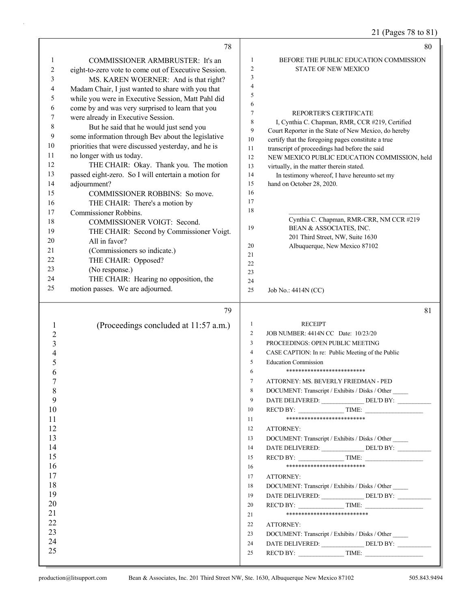21 (Pages 78 to 81)

|                | 78                                                   |                       | 80                                                                                                      |
|----------------|------------------------------------------------------|-----------------------|---------------------------------------------------------------------------------------------------------|
| 1              | <b>COMMISSIONER ARMBRUSTER:</b> It's an              | 1                     | BEFORE THE PUBLIC EDUCATION COMMISSION                                                                  |
| 2              | eight-to-zero vote to come out of Executive Session. | $\overline{2}$        | <b>STATE OF NEW MEXICO</b>                                                                              |
| 3              | MS. KAREN WOERNER: And is that right?                | 3                     |                                                                                                         |
| 4              | Madam Chair, I just wanted to share with you that    | 4                     |                                                                                                         |
| 5              | while you were in Executive Session, Matt Pahl did   | 5                     |                                                                                                         |
| 6              | come by and was very surprised to learn that you     | 6                     |                                                                                                         |
| 7              | were already in Executive Session.                   | $\tau$<br>$\,$ 8 $\,$ | <b>REPORTER'S CERTIFICATE</b>                                                                           |
| 8              | But he said that he would just send you              | 9                     | I, Cynthia C. Chapman, RMR, CCR #219, Certified<br>Court Reporter in the State of New Mexico, do hereby |
| 9              | some information through Bev about the legislative   | 10                    | certify that the foregoing pages constitute a true                                                      |
| 10             | priorities that were discussed yesterday, and he is  | 11                    | transcript of proceedings had before the said                                                           |
| 11             | no longer with us today.                             | 12                    | NEW MEXICO PUBLIC EDUCATION COMMISSION, held                                                            |
| 12             | THE CHAIR: Okay. Thank you. The motion               | 13                    | virtually, in the matter therein stated.                                                                |
| 13             | passed eight-zero. So I will entertain a motion for  | 14                    | In testimony whereof, I have hereunto set my                                                            |
| 14             | adjournment?                                         | 15                    | hand on October 28, 2020.                                                                               |
| 15             | COMMISSIONER ROBBINS: So move.                       | 16                    |                                                                                                         |
| 16             | THE CHAIR: There's a motion by                       | 17                    |                                                                                                         |
| 17             | Commissioner Robbins.                                | 18                    |                                                                                                         |
| 18             | COMMISSIONER VOIGT: Second.                          | 19                    | Cynthia C. Chapman, RMR-CRR, NM CCR #219<br>BEAN & ASSOCIATES, INC.                                     |
| 19             | THE CHAIR: Second by Commissioner Voigt.             |                       | 201 Third Street, NW, Suite 1630                                                                        |
| 20             | All in favor?                                        | 20                    | Albuquerque, New Mexico 87102                                                                           |
| 21             | (Commissioners so indicate.)                         | 21                    |                                                                                                         |
| 22             | THE CHAIR: Opposed?                                  | 22                    |                                                                                                         |
| 23             | (No response.)                                       | 23                    |                                                                                                         |
| 24             | THE CHAIR: Hearing no opposition, the                | 24                    |                                                                                                         |
| 25             | motion passes. We are adjourned.                     | 25                    | Job No.: 4414N (CC)                                                                                     |
|                | 79                                                   |                       | 81                                                                                                      |
| 1              | (Proceedings concluded at 11:57 a.m.)                | $\mathbf{1}$          | <b>RECEIPT</b>                                                                                          |
| $\overline{c}$ |                                                      | $\overline{c}$        | JOB NUMBER: 4414N CC Date: 10/23/20                                                                     |
| 3              |                                                      | 3                     | PROCEEDINGS: OPEN PUBLIC MEETING                                                                        |
| 4              |                                                      | 4                     | CASE CAPTION: In re: Public Meeting of the Public                                                       |
| 5              |                                                      | 5                     | <b>Education Commission</b>                                                                             |
| 6              |                                                      | 6                     | **************************                                                                              |
| 7              |                                                      | 7                     | ATTORNEY: MS. BEVERLY FRIEDMAN - PED                                                                    |
| 8              |                                                      | 8                     | DOCUMENT: Transcript / Exhibits / Disks / Other                                                         |
| 9              |                                                      | 9                     | DATE DELIVERED: DEL'D BY:                                                                               |
| 10             |                                                      | 10                    | REC'D BY: TIME:                                                                                         |
| 11             |                                                      | 11                    | **************************                                                                              |
| 12             |                                                      | 12                    | ATTORNEY:                                                                                               |
| 13             |                                                      | 13                    | DOCUMENT: Transcript / Exhibits / Disks / Other                                                         |
| 14             |                                                      | 14                    | DATE DELIVERED: ________________ DEL'D BY: __________                                                   |
| 15             |                                                      |                       |                                                                                                         |
|                |                                                      | 15                    | $RECD BY:$ TIME:                                                                                        |
| 16             |                                                      | 16                    | **************************                                                                              |
| 17             |                                                      | 17                    | ATTORNEY:                                                                                               |
| 18             |                                                      | 18                    | DOCUMENT: Transcript / Exhibits / Disks / Other                                                         |
| 19             |                                                      | 19                    | DATE DELIVERED: DEL'D BY:                                                                               |
| 20             |                                                      | 20                    | REC'D BY: TIME:                                                                                         |
| 21             |                                                      | 21                    | ***************************                                                                             |
| 22             |                                                      | 22                    | ATTORNEY:                                                                                               |
| 23             |                                                      | 23                    | DOCUMENT: Transcript / Exhibits / Disks / Other                                                         |
| 24<br>25       |                                                      | 24<br>25              | DATE DELIVERED: ________________ DEL'D BY: ___________<br>$RECD BY:$ TIME:                              |